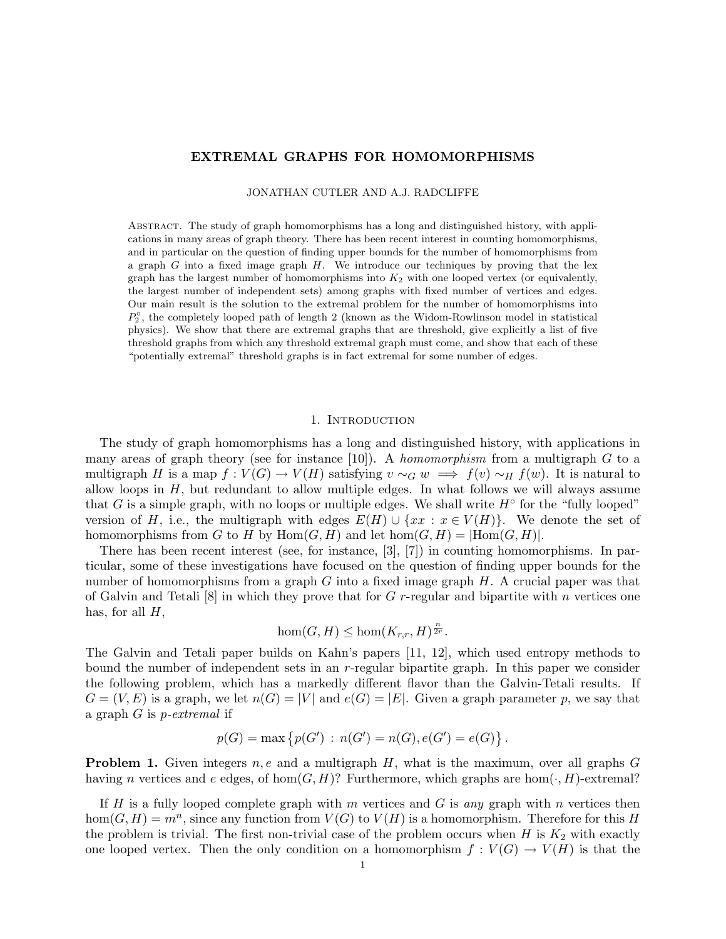## EXTREMAL GRAPHS FOR HOMOMORPHISMS

JONATHAN CUTLER AND A.J. RADCLIFFE

Abstract. The study of graph homomorphisms has a long and distinguished history, with applications in many areas of graph theory. There has been recent interest in counting homomorphisms, and in particular on the question of finding upper bounds for the number of homomorphisms from a graph  $G$  into a fixed image graph  $H$ . We introduce our techniques by proving that the lex graph has the largest number of homomorphisms into  $K_2$  with one looped vertex (or equivalently, the largest number of independent sets) among graphs with fixed number of vertices and edges. Our main result is the solution to the extremal problem for the number of homomorphisms into  $P_2^{\circ}$ , the completely looped path of length 2 (known as the Widom-Rowlinson model in statistical physics). We show that there are extremal graphs that are threshold, give explicitly a list of five threshold graphs from which any threshold extremal graph must come, and show that each of these "potentially extremal" threshold graphs is in fact extremal for some number of edges.

## 1. INTRODUCTION

The study of graph homomorphisms has a long and distinguished history, with applications in many areas of graph theory (see for instance [10]). A *homomorphism* from a multigraph  $G$  to a multigraph H is a map  $f: V(G) \to V(H)$  satisfying  $v \sim_G w \implies f(v) \sim_H f(w)$ . It is natural to allow loops in  $H$ , but redundant to allow multiple edges. In what follows we will always assume that G is a simple graph, with no loops or multiple edges. We shall write  $H^{\circ}$  for the "fully looped" version of H, i.e., the multigraph with edges  $E(H) \cup \{xx : x \in V(H)\}$ . We denote the set of homomorphisms from G to H by  $\text{Hom}(G, H)$  and let  $\text{hom}(G, H) = |\text{Hom}(G, H)|$ .

There has been recent interest (see, for instance, [3], [7]) in counting homomorphisms. In particular, some of these investigations have focused on the question of finding upper bounds for the number of homomorphisms from a graph  $G$  into a fixed image graph  $H$ . A crucial paper was that of Galvin and Tetali  $[8]$  in which they prove that for G r-regular and bipartite with n vertices one has, for all  $H$ ,

$$
\hom(G, H) \le \hom(K_{r,r}, H)^{\frac{n}{2r}}.
$$

The Galvin and Tetali paper builds on Kahn's papers [11, 12], which used entropy methods to bound the number of independent sets in an r-regular bipartite graph. In this paper we consider the following problem, which has a markedly different flavor than the Galvin-Tetali results. If  $G = (V, E)$  is a graph, we let  $n(G) = |V|$  and  $e(G) = |E|$ . Given a graph parameter p, we say that a graph G is p-extremal if

$$
p(G) = \max \{ p(G') : n(G') = n(G), e(G') = e(G) \}.
$$

**Problem 1.** Given integers  $n, e$  and a multigraph  $H$ , what is the maximum, over all graphs  $G$ having n vertices and e edges, of hom $(G, H)$ ? Furthermore, which graphs are hom $(\cdot, H)$ -extremal?

If H is a fully looped complete graph with m vertices and G is any graph with n vertices then hom $(G, H) = m<sup>n</sup>$ , since any function from  $V(G)$  to  $V(H)$  is a homomorphism. Therefore for this H the problem is trivial. The first non-trivial case of the problem occurs when  $H$  is  $K_2$  with exactly one looped vertex. Then the only condition on a homomorphism  $f: V(G) \to V(H)$  is that the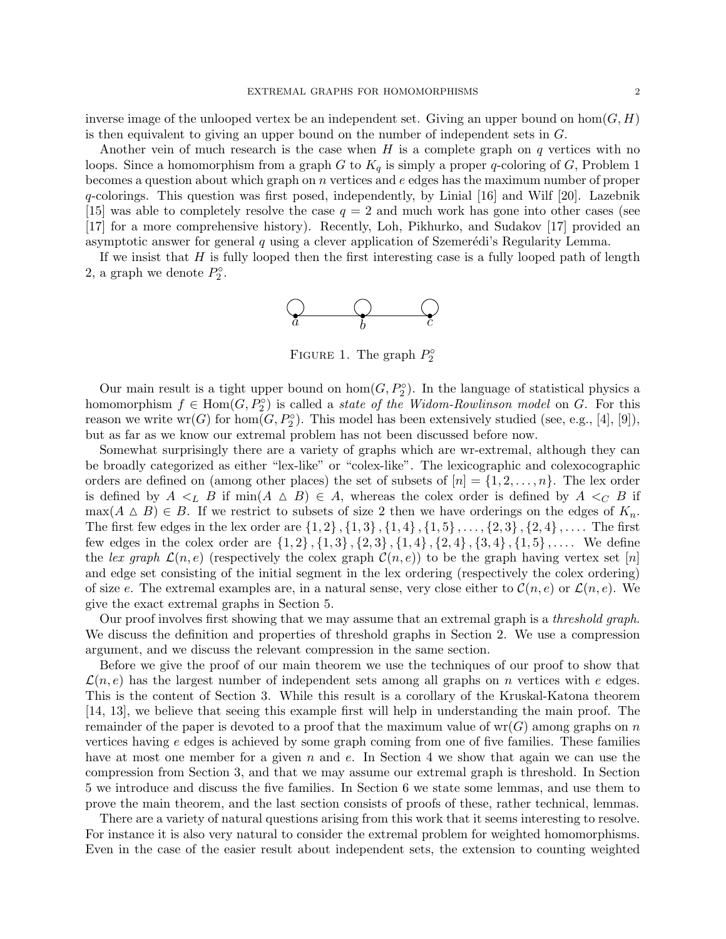inverse image of the unlooped vertex be an independent set. Giving an upper bound on hom $(G, H)$ is then equivalent to giving an upper bound on the number of independent sets in G.

Another vein of much research is the case when  $H$  is a complete graph on  $q$  vertices with no loops. Since a homomorphism from a graph G to  $K_q$  is simply a proper q-coloring of G, Problem 1 becomes a question about which graph on  $n$  vertices and  $e$  edges has the maximum number of proper q-colorings. This question was first posed, independently, by Linial [16] and Wilf [20]. Lazebnik [15] was able to completely resolve the case  $q = 2$  and much work has gone into other cases (see [17] for a more comprehensive history). Recently, Loh, Pikhurko, and Sudakov [17] provided an asymptotic answer for general  $q$  using a clever application of Szemerédi's Regularity Lemma.

If we insist that  $H$  is fully looped then the first interesting case is a fully looped path of length 2, a graph we denote  $P_2^{\circ}$ .



FIGURE 1. The graph  $P_2^{\circ}$ 

Our main result is a tight upper bound on  $hom(G, P_2^{\circ})$ . In the language of statistical physics a homomorphism  $f \in \text{Hom}(G, P_2^{\circ})$  is called a *state of the Widom-Rowlinson model* on G. For this reason we write  $wr(G)$  for  $hom(G, P_2^{\circ})$ . This model has been extensively studied (see, e.g., [4], [9]), but as far as we know our extremal problem has not been discussed before now.

Somewhat surprisingly there are a variety of graphs which are wr-extremal, although they can be broadly categorized as either "lex-like" or "colex-like". The lexicographic and colexocographic orders are defined on (among other places) the set of subsets of  $[n] = \{1, 2, \ldots, n\}$ . The lex order is defined by  $A \leq_L B$  if  $\min(A \triangle B) \in A$ , whereas the colex order is defined by  $A \leq_C B$  if  $\max(A \triangle B) \in B$ . If we restrict to subsets of size 2 then we have orderings on the edges of  $K_n$ . The first few edges in the lex order are  $\{1, 2\}$ ,  $\{1, 3\}$ ,  $\{1, 4\}$ ,  $\{1, 5\}$ , ...,  $\{2, 3\}$ ,  $\{2, 4\}$ , .... The first few edges in the colex order are  $\{1, 2\}$ ,  $\{1, 3\}$ ,  $\{2, 3\}$ ,  $\{1, 4\}$ ,  $\{2, 4\}$ ,  $\{3, 4\}$ ,  $\{1, 5\}$ , .... We define the lex graph  $\mathcal{L}(n, e)$  (respectively the colex graph  $\mathcal{C}(n, e)$ ) to be the graph having vertex set [n] and edge set consisting of the initial segment in the lex ordering (respectively the colex ordering) of size e. The extremal examples are, in a natural sense, very close either to  $\mathcal{C}(n, e)$  or  $\mathcal{L}(n, e)$ . We give the exact extremal graphs in Section 5.

Our proof involves first showing that we may assume that an extremal graph is a *threshold graph*. We discuss the definition and properties of threshold graphs in Section 2. We use a compression argument, and we discuss the relevant compression in the same section.

Before we give the proof of our main theorem we use the techniques of our proof to show that  $\mathcal{L}(n, e)$  has the largest number of independent sets among all graphs on n vertices with e edges. This is the content of Section 3. While this result is a corollary of the Kruskal-Katona theorem [14, 13], we believe that seeing this example first will help in understanding the main proof. The remainder of the paper is devoted to a proof that the maximum value of  $wr(G)$  among graphs on n vertices having e edges is achieved by some graph coming from one of five families. These families have at most one member for a given n and e. In Section 4 we show that again we can use the compression from Section 3, and that we may assume our extremal graph is threshold. In Section 5 we introduce and discuss the five families. In Section 6 we state some lemmas, and use them to prove the main theorem, and the last section consists of proofs of these, rather technical, lemmas.

There are a variety of natural questions arising from this work that it seems interesting to resolve. For instance it is also very natural to consider the extremal problem for weighted homomorphisms. Even in the case of the easier result about independent sets, the extension to counting weighted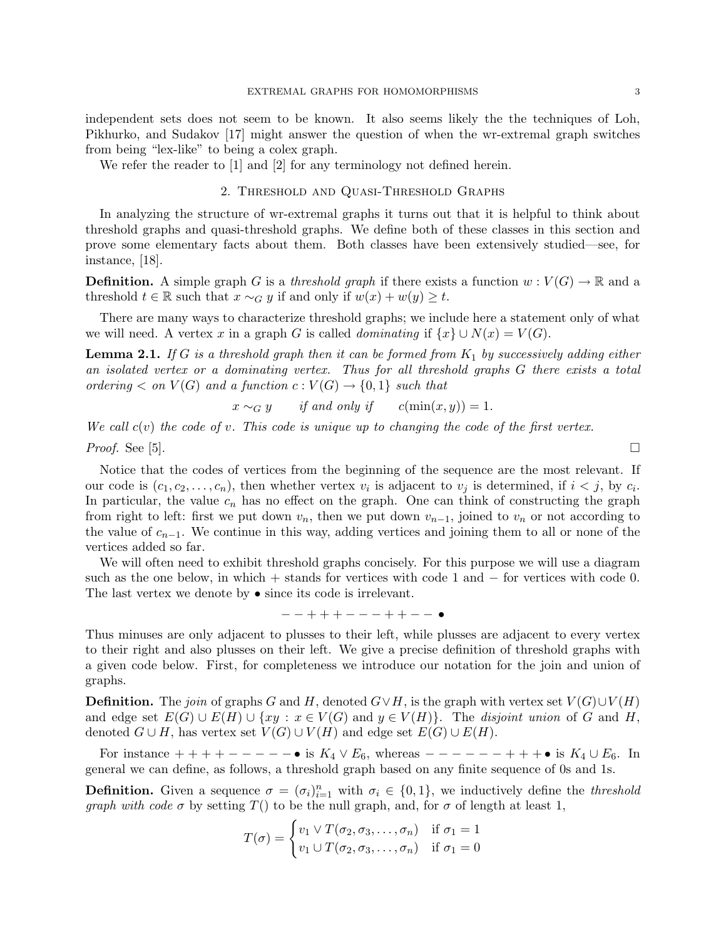independent sets does not seem to be known. It also seems likely the the techniques of Loh, Pikhurko, and Sudakov [17] might answer the question of when the wr-extremal graph switches from being "lex-like" to being a colex graph.

We refer the reader to [1] and [2] for any terminology not defined herein.

## 2. Threshold and Quasi-Threshold Graphs

In analyzing the structure of wr-extremal graphs it turns out that it is helpful to think about threshold graphs and quasi-threshold graphs. We define both of these classes in this section and prove some elementary facts about them. Both classes have been extensively studied—see, for instance, [18].

**Definition.** A simple graph G is a threshold graph if there exists a function  $w: V(G) \to \mathbb{R}$  and a threshold  $t \in \mathbb{R}$  such that  $x \sim_G y$  if and only if  $w(x) + w(y) \ge t$ .

There are many ways to characterize threshold graphs; we include here a statement only of what we will need. A vertex x in a graph G is called *dominating* if  $\{x\} \cup N(x) = V(G)$ .

**Lemma 2.1.** If G is a threshold graph then it can be formed from  $K_1$  by successively adding either an isolated vertex or a dominating vertex. Thus for all threshold graphs G there exists a total ordering  $\langle$  on  $V(G)$  and a function  $c: V(G) \to \{0,1\}$  such that

$$
x \sim_G y
$$
 if and only if  $c(\min(x, y)) = 1$ .

We call  $c(v)$  the code of v. This code is unique up to changing the code of the first vertex.

*Proof.* See [5].  $\Box$ 

Notice that the codes of vertices from the beginning of the sequence are the most relevant. If our code is  $(c_1, c_2, \ldots, c_n)$ , then whether vertex  $v_i$  is adjacent to  $v_j$  is determined, if  $i < j$ , by  $c_i$ . In particular, the value  $c_n$  has no effect on the graph. One can think of constructing the graph from right to left: first we put down  $v_n$ , then we put down  $v_{n-1}$ , joined to  $v_n$  or not according to the value of  $c_{n-1}$ . We continue in this way, adding vertices and joining them to all or none of the vertices added so far.

We will often need to exhibit threshold graphs concisely. For this purpose we will use a diagram such as the one below, in which + stands for vertices with code 1 and − for vertices with code 0. The last vertex we denote by • since its code is irrelevant.

− − + + + − − − + + − − •

Thus minuses are only adjacent to plusses to their left, while plusses are adjacent to every vertex to their right and also plusses on their left. We give a precise definition of threshold graphs with a given code below. First, for completeness we introduce our notation for the join and union of graphs.

**Definition.** The join of graphs G and H, denoted  $G \vee H$ , is the graph with vertex set  $V(G) \cup V(H)$ and edge set  $E(G) \cup E(H) \cup \{xy : x \in V(G) \text{ and } y \in V(H)\}.$  The disjoint union of G and H, denoted  $G \cup H$ , has vertex set  $V(G) \cup V(H)$  and edge set  $E(G) \cup E(H)$ .

For instance  $++++--- - \bullet$  is  $K_4 \vee E_6$ , whereas  $--- - - + + + \bullet$  is  $K_4 \cup E_6$ . In general we can define, as follows, a threshold graph based on any finite sequence of 0s and 1s.

**Definition.** Given a sequence  $\sigma = (\sigma_i)_{i=1}^n$  with  $\sigma_i \in \{0,1\}$ , we inductively define the *threshold* graph with code  $\sigma$  by setting  $T()$  to be the null graph, and, for  $\sigma$  of length at least 1,

$$
T(\sigma) = \begin{cases} v_1 \vee T(\sigma_2, \sigma_3, \dots, \sigma_n) & \text{if } \sigma_1 = 1 \\ v_1 \cup T(\sigma_2, \sigma_3, \dots, \sigma_n) & \text{if } \sigma_1 = 0 \end{cases}
$$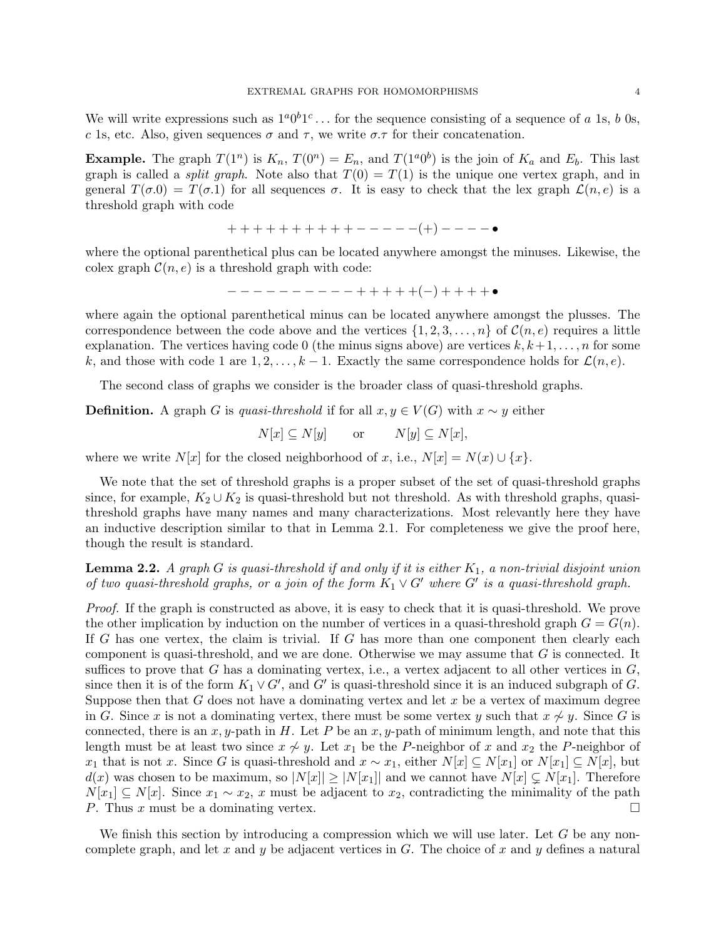We will write expressions such as  $1^a0^b1^c\ldots$  for the sequence consisting of a sequence of a 1s, b 0s, c 1s, etc. Also, given sequences  $\sigma$  and  $\tau$ , we write  $\sigma.\tau$  for their concatenation.

**Example.** The graph  $T(1^n)$  is  $K_n$ ,  $T(0^n) = E_n$ , and  $T(1^n0^b)$  is the join of  $K_a$  and  $E_b$ . This last graph is called a *split graph*. Note also that  $T(0) = T(1)$  is the unique one vertex graph, and in general  $T(\sigma,0) = T(\sigma,1)$  for all sequences  $\sigma$ . It is easy to check that the lex graph  $\mathcal{L}(n,e)$  is a threshold graph with code

$$
++++++++++----(+)----\bullet
$$

where the optional parenthetical plus can be located anywhere amongst the minuses. Likewise, the colex graph  $\mathcal{C}(n, e)$  is a threshold graph with code:

$$
---------++++++(-)+++++\bullet
$$

where again the optional parenthetical minus can be located anywhere amongst the plusses. The correspondence between the code above and the vertices  $\{1, 2, 3, \ldots, n\}$  of  $\mathcal{C}(n, e)$  requires a little explanation. The vertices having code 0 (the minus signs above) are vertices  $k, k+1, \ldots, n$  for some k, and those with code 1 are  $1, 2, \ldots, k-1$ . Exactly the same correspondence holds for  $\mathcal{L}(n, e)$ .

The second class of graphs we consider is the broader class of quasi-threshold graphs.

**Definition.** A graph G is quasi-threshold if for all  $x, y \in V(G)$  with  $x \sim y$  either

$$
N[x] \subseteq N[y] \qquad \text{or} \qquad N[y] \subseteq N[x],
$$

where we write  $N[x]$  for the closed neighborhood of x, i.e.,  $N[x] = N(x) \cup \{x\}$ .

We note that the set of threshold graphs is a proper subset of the set of quasi-threshold graphs since, for example,  $K_2 \cup K_2$  is quasi-threshold but not threshold. As with threshold graphs, quasithreshold graphs have many names and many characterizations. Most relevantly here they have an inductive description similar to that in Lemma 2.1. For completeness we give the proof here, though the result is standard.

# **Lemma 2.2.** A graph G is quasi-threshold if and only if it is either  $K_1$ , a non-trivial disjoint union of two quasi-threshold graphs, or a join of the form  $K_1 \vee G'$  where  $G'$  is a quasi-threshold graph.

Proof. If the graph is constructed as above, it is easy to check that it is quasi-threshold. We prove the other implication by induction on the number of vertices in a quasi-threshold graph  $G = G(n)$ . If G has one vertex, the claim is trivial. If G has more than one component then clearly each component is quasi-threshold, and we are done. Otherwise we may assume that G is connected. It suffices to prove that G has a dominating vertex, i.e., a vertex adjacent to all other vertices in  $G$ , since then it is of the form  $K_1 \vee G'$ , and G' is quasi-threshold since it is an induced subgraph of G. Suppose then that  $G$  does not have a dominating vertex and let  $x$  be a vertex of maximum degree in G. Since x is not a dominating vertex, there must be some vertex y such that  $x \nsim y$ . Since G is connected, there is an x, y-path in H. Let P be an x, y-path of minimum length, and note that this length must be at least two since  $x \nsim y$ . Let  $x_1$  be the P-neighbor of x and  $x_2$  the P-neighbor of x<sub>1</sub> that is not x. Since G is quasi-threshold and  $x \sim x_1$ , either  $N[x] \subseteq N[x_1]$  or  $N[x_1] \subseteq N[x]$ , but  $d(x)$  was chosen to be maximum, so  $|N[x]| \geq |N[x_1]|$  and we cannot have  $N[x] \subsetneq N[x_1]$ . Therefore  $N[x_1] \subseteq N[x]$ . Since  $x_1 \sim x_2$ , x must be adjacent to  $x_2$ , contradicting the minimality of the path P. Thus x must be a dominating vertex.

We finish this section by introducing a compression which we will use later. Let  $G$  be any noncomplete graph, and let x and y be adjacent vertices in  $G$ . The choice of x and y defines a natural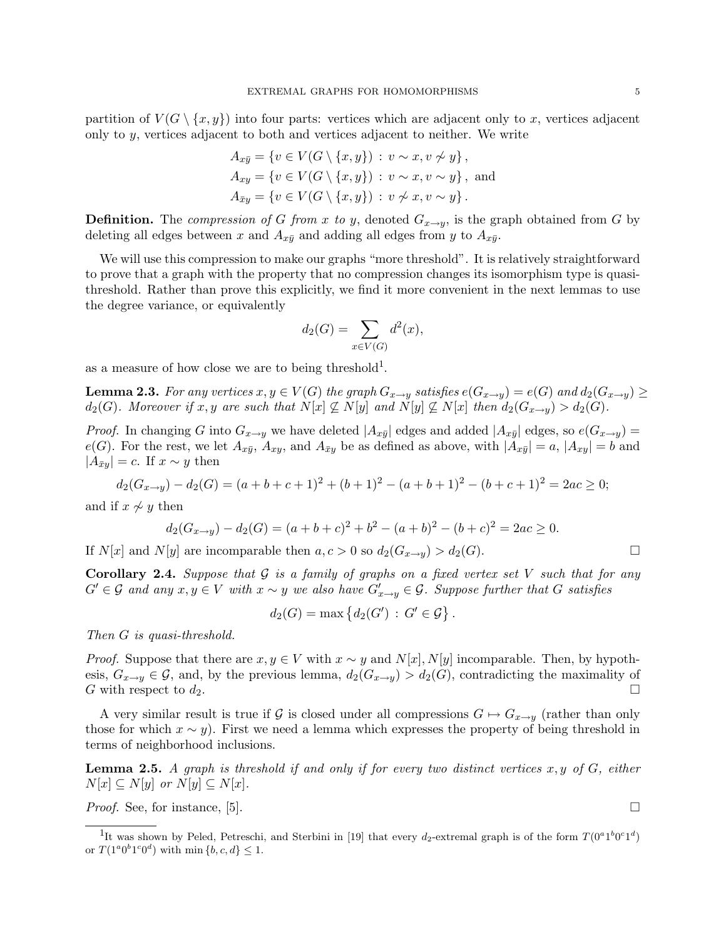partition of  $V(G \setminus \{x, y\})$  into four parts: vertices which are adjacent only to x, vertices adjacent only to  $y$ , vertices adjacent to both and vertices adjacent to neither. We write

$$
A_{x\bar{y}} = \{v \in V(G \setminus \{x, y\}) : v \sim x, v \not\sim y\},\
$$
  
\n
$$
A_{xy} = \{v \in V(G \setminus \{x, y\}) : v \sim x, v \sim y\},\
$$
and  
\n
$$
A_{\bar{x}y} = \{v \in V(G \setminus \{x, y\}) : v \not\sim x, v \sim y\}.
$$

**Definition.** The compression of G from x to y, denoted  $G_{x\rightarrow y}$ , is the graph obtained from G by deleting all edges between x and  $A_{x\bar{y}}$  and adding all edges from y to  $A_{x\bar{y}}$ .

We will use this compression to make our graphs "more threshold". It is relatively straightforward to prove that a graph with the property that no compression changes its isomorphism type is quasithreshold. Rather than prove this explicitly, we find it more convenient in the next lemmas to use the degree variance, or equivalently

$$
d_2(G) = \sum_{x \in V(G)} d^2(x),
$$

as a measure of how close we are to being threshold<sup>1</sup>.

**Lemma 2.3.** For any vertices  $x, y \in V(G)$  the graph  $G_{x\to y}$  satisfies  $e(G_{x\to y}) = e(G)$  and  $d_2(G_{x\to y}) \ge$  $d_2(G)$ . Moreover if x, y are such that  $N[x] \nsubseteq N[y]$  and  $N[y] \nsubseteq N[x]$  then  $d_2(G_{x\to y}) > d_2(G)$ .

*Proof.* In changing G into  $G_{x\to y}$  we have deleted  $|A_{x\bar{y}}|$  edges and added  $|A_{x\bar{y}}|$  edges, so  $e(G_{x\to y})$  =  $e(G)$ . For the rest, we let  $A_{x\bar{y}}, A_{xy}$ , and  $A_{\bar{xy}}$  be as defined as above, with  $|A_{x\bar{y}}|=a, |A_{xy}|=b$  and  $|A_{\bar{x}y}| = c$ . If  $x \sim y$  then

$$
d_2(G_{x \to y}) - d_2(G) = (a+b+c+1)^2 + (b+1)^2 - (a+b+1)^2 - (b+c+1)^2 = 2ac \ge 0;
$$

and if  $x \nsim y$  then

$$
d_2(G_{x \to y}) - d_2(G) = (a+b+c)^2 + b^2 - (a+b)^2 - (b+c)^2 = 2ac \ge 0.
$$

If  $N[x]$  and  $N[y]$  are incomparable then  $a, c > 0$  so  $d_2(G_{x \to y}) > d_2(G)$ .

**Corollary 2.4.** Suppose that  $G$  is a family of graphs on a fixed vertex set V such that for any  $G' \in \mathcal{G}$  and any  $x, y \in V$  with  $x \sim y$  we also have  $G'_{x \to y} \in \mathcal{G}$ . Suppose further that  $G$  satisfies

$$
d_2(G) = \max \left\{ d_2(G') \, : \, G' \in \mathcal{G} \right\}.
$$

Then G is quasi-threshold.

*Proof.* Suppose that there are  $x, y \in V$  with  $x \sim y$  and  $N[x]$ ,  $N[y]$  incomparable. Then, by hypothesis,  $G_{x\to y} \in \mathcal{G}$ , and, by the previous lemma,  $d_2(G_{x\to y}) > d_2(G)$ , contradicting the maximality of G with respect to  $d_2$ .

A very similar result is true if G is closed under all compressions  $G \mapsto G_{x \to y}$  (rather than only those for which  $x \sim y$ ). First we need a lemma which expresses the property of being threshold in terms of neighborhood inclusions.

**Lemma 2.5.** A graph is threshold if and only if for every two distinct vertices  $x, y$  of  $G$ , either  $N[x] \subseteq N[y]$  or  $N[y] \subseteq N[x]$ .

*Proof.* See, for instance, [5].  $\Box$ 

<sup>&</sup>lt;sup>1</sup>It was shown by Peled, Petreschi, and Sterbini in [19] that every  $d_2$ -extremal graph is of the form  $T(0^a1^b0^c1^d)$ or  $T(1^a 0^b 1^c 0^d)$  with min  $\{b, c, d\} \leq 1$ .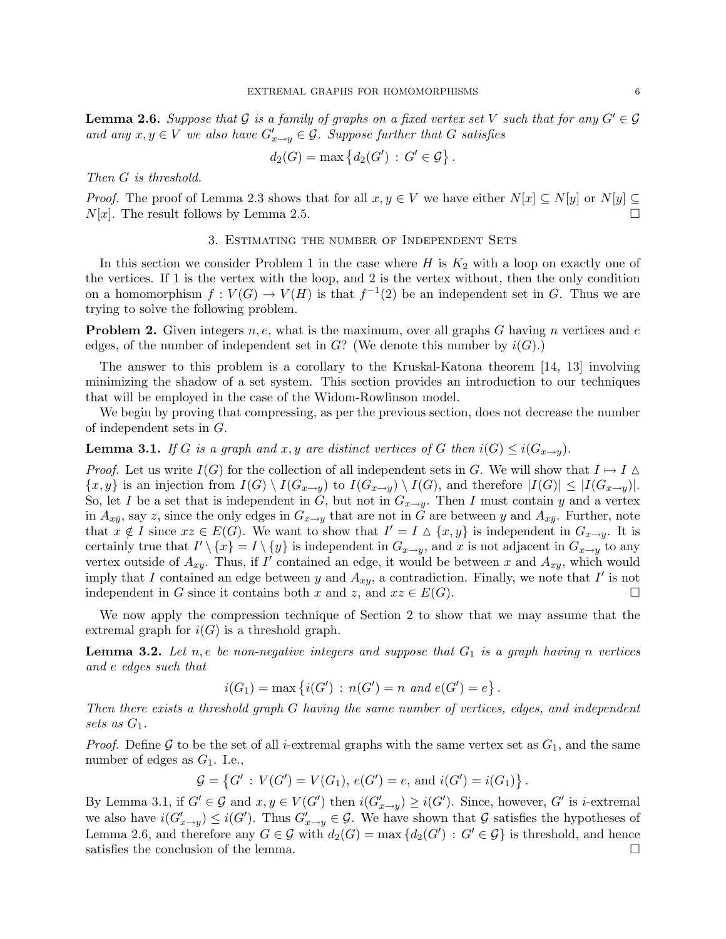**Lemma 2.6.** Suppose that G is a family of graphs on a fixed vertex set V such that for any  $G' \in \mathcal{G}$ and any  $x, y \in V$  we also have  $G'_{x \to y} \in \mathcal{G}$ . Suppose further that G satisfies

$$
d_2(G) = \max \left\{ d_2(G') : G' \in \mathcal{G} \right\}.
$$

Then G is threshold.

*Proof.* The proof of Lemma 2.3 shows that for all  $x, y \in V$  we have either  $N[x] \subseteq N[y]$  or  $N[y] \subseteq$  $N[x]$ . The result follows by Lemma 2.5.

#### 3. Estimating the number of Independent Sets

In this section we consider Problem 1 in the case where  $H$  is  $K_2$  with a loop on exactly one of the vertices. If 1 is the vertex with the loop, and 2 is the vertex without, then the only condition on a homomorphism  $f: V(G) \to V(H)$  is that  $f^{-1}(2)$  be an independent set in G. Thus we are trying to solve the following problem.

**Problem 2.** Given integers  $n, e$ , what is the maximum, over all graphs G having n vertices and e edges, of the number of independent set in  $G$ ? (We denote this number by  $i(G)$ .)

The answer to this problem is a corollary to the Kruskal-Katona theorem [14, 13] involving minimizing the shadow of a set system. This section provides an introduction to our techniques that will be employed in the case of the Widom-Rowlinson model.

We begin by proving that compressing, as per the previous section, does not decrease the number of independent sets in G.

**Lemma 3.1.** If G is a graph and x, y are distinct vertices of G then  $i(G) \leq i(G_{x\rightarrow y})$ .

*Proof.* Let us write  $I(G)$  for the collection of all independent sets in G. We will show that  $I \mapsto I \Delta$  $\{x, y\}$  is an injection from  $I(G) \setminus I(G_{x\to y})$  to  $I(G_{x\to y}) \setminus I(G)$ , and therefore  $|I(G)| \leq |I(G_{x\to y})|$ . So, let I be a set that is independent in G, but not in  $G_{x\rightarrow y}$ . Then I must contain y and a vertex in  $A_{x\bar{y}}$ , say z, since the only edges in  $G_{x\to y}$  that are not in G are between y and  $A_{x\bar{y}}$ . Further, note that  $x \notin I$  since  $xz \in E(G)$ . We want to show that  $I' = I \Delta \{x, y\}$  is independent in  $G_{x \to y}$ . It is certainly true that  $I' \setminus \{x\} = I \setminus \{y\}$  is independent in  $G_{x \to y}$ , and x is not adjacent in  $G_{x \to y}$  to any vertex outside of  $A_{xy}$ . Thus, if I' contained an edge, it would be between x and  $A_{xy}$ , which would imply that I contained an edge between y and  $A_{xy}$ , a contradiction. Finally, we note that I' is not independent in G since it contains both x and z, and  $xz \in E(G)$ .

We now apply the compression technique of Section 2 to show that we may assume that the extremal graph for  $i(G)$  is a threshold graph.

**Lemma 3.2.** Let n, e be non-negative integers and suppose that  $G_1$  is a graph having n vertices and e edges such that

$$
i(G_1) = \max \{ i(G') : n(G') = n \text{ and } e(G') = e \}.
$$

Then there exists a threshold graph G having the same number of vertices, edges, and independent sets as  $G_1$ .

*Proof.* Define G to be the set of all *i*-extremal graphs with the same vertex set as  $G_1$ , and the same number of edges as  $G_1$ . I.e.,

$$
\mathcal{G} = \{ G' : V(G') = V(G_1), e(G') = e, \text{ and } i(G') = i(G_1) \}
$$

.

By Lemma 3.1, if  $G' \in \mathcal{G}$  and  $x, y \in V(G')$  then  $i(G'_{x \to y}) \geq i(G')$ . Since, however,  $G'$  is *i*-extremal we also have  $i(G'_{x\to y}) \leq i(G')$ . Thus  $G'_{x\to y} \in \mathcal{G}$ . We have shown that  $\mathcal{G}$  satisfies the hypotheses of Lemma 2.6, and therefore any  $G \in \mathcal{G}$  with  $d_2(G) = \max \{d_2(G') : G' \in \mathcal{G}\}\$ is threshold, and hence satisfies the conclusion of the lemma.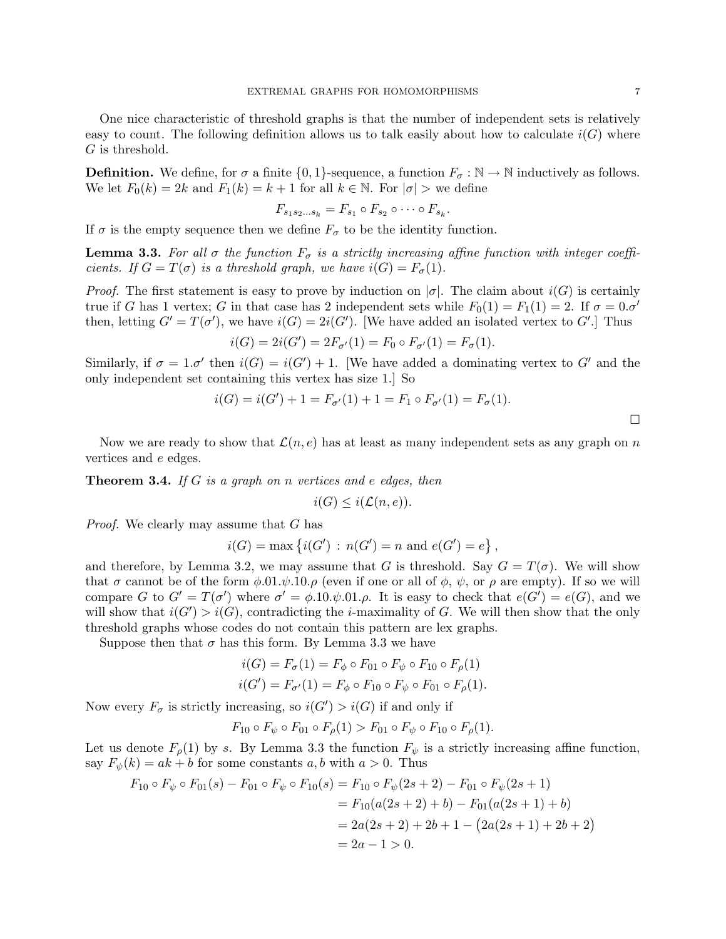One nice characteristic of threshold graphs is that the number of independent sets is relatively easy to count. The following definition allows us to talk easily about how to calculate  $i(G)$  where G is threshold.

**Definition.** We define, for  $\sigma$  a finite  $\{0, 1\}$ -sequence, a function  $F_{\sigma} : \mathbb{N} \to \mathbb{N}$  inductively as follows. We let  $F_0(k) = 2k$  and  $F_1(k) = k + 1$  for all  $k \in \mathbb{N}$ . For  $|\sigma| >$  we define

$$
F_{s_1s_2\ldots s_k}=F_{s_1}\circ F_{s_2}\circ\cdots\circ F_{s_k}.
$$

If  $\sigma$  is the empty sequence then we define  $F_{\sigma}$  to be the identity function.

**Lemma 3.3.** For all  $\sigma$  the function  $F_{\sigma}$  is a strictly increasing affine function with integer coefficients. If  $G = T(\sigma)$  is a threshold graph, we have  $i(G) = F_{\sigma}(1)$ .

*Proof.* The first statement is easy to prove by induction on  $|\sigma|$ . The claim about  $i(G)$  is certainly true if G has 1 vertex; G in that case has 2 independent sets while  $F_0(1) = F_1(1) = 2$ . If  $\sigma = 0.\sigma'$ then, letting  $G' = T(\sigma')$ , we have  $i(G) = 2i(G')$ . [We have added an isolated vertex to G'.] Thus

$$
i(G) = 2i(G') = 2F_{\sigma'}(1) = F_0 \circ F_{\sigma'}(1) = F_{\sigma}(1).
$$

Similarly, if  $\sigma = 1 \sigma'$  then  $i(G) = i(G') + 1$ . [We have added a dominating vertex to G' and the only independent set containing this vertex has size 1.] So

$$
i(G) = i(G') + 1 = F_{\sigma'}(1) + 1 = F_1 \circ F_{\sigma'}(1) = F_{\sigma}(1).
$$

Now we are ready to show that  $\mathcal{L}(n, e)$  has at least as many independent sets as any graph on n vertices and e edges.

**Theorem 3.4.** If G is a graph on n vertices and e edges, then

$$
i(G) \leq i(\mathcal{L}(n, e)).
$$

Proof. We clearly may assume that G has

$$
i(G) = \max \{i(G') : n(G') = n \text{ and } e(G') = e\},
$$

and therefore, by Lemma 3.2, we may assume that G is threshold. Say  $G = T(\sigma)$ . We will show that  $\sigma$  cannot be of the form  $\phi.01.\psi.10.\rho$  (even if one or all of  $\phi$ ,  $\psi$ , or  $\rho$  are empty). If so we will compare G to  $G' = T(\sigma')$  where  $\sigma' = \phi.10.\psi.01.\rho$ . It is easy to check that  $e(G') = e(G)$ , and we will show that  $i(G') > i(G)$ , contradicting the *i*-maximality of G. We will then show that the only threshold graphs whose codes do not contain this pattern are lex graphs.

Suppose then that  $\sigma$  has this form. By Lemma 3.3 we have

$$
i(G) = F_{\sigma}(1) = F_{\phi} \circ F_{01} \circ F_{\psi} \circ F_{10} \circ F_{\rho}(1)
$$
  

$$
i(G') = F_{\sigma'}(1) = F_{\phi} \circ F_{10} \circ F_{\psi} \circ F_{01} \circ F_{\rho}(1).
$$

Now every  $F_{\sigma}$  is strictly increasing, so  $i(G') > i(G)$  if and only if

$$
F_{10} \circ F_{\psi} \circ F_{01} \circ F_{\rho}(1) > F_{01} \circ F_{\psi} \circ F_{10} \circ F_{\rho}(1).
$$

Let us denote  $F_{\rho}(1)$  by s. By Lemma 3.3 the function  $F_{\psi}$  is a strictly increasing affine function, say  $F_{\psi}(k) = ak + b$  for some constants a, b with  $a > 0$ . Thus

$$
F_{10} \circ F_{\psi} \circ F_{01}(s) - F_{01} \circ F_{\psi} \circ F_{10}(s) = F_{10} \circ F_{\psi}(2s+2) - F_{01} \circ F_{\psi}(2s+1)
$$
  
=  $F_{10}(a(2s+2) + b) - F_{01}(a(2s+1) + b)$   
=  $2a(2s+2) + 2b + 1 - (2a(2s+1) + 2b + 2)$   
=  $2a - 1 > 0$ .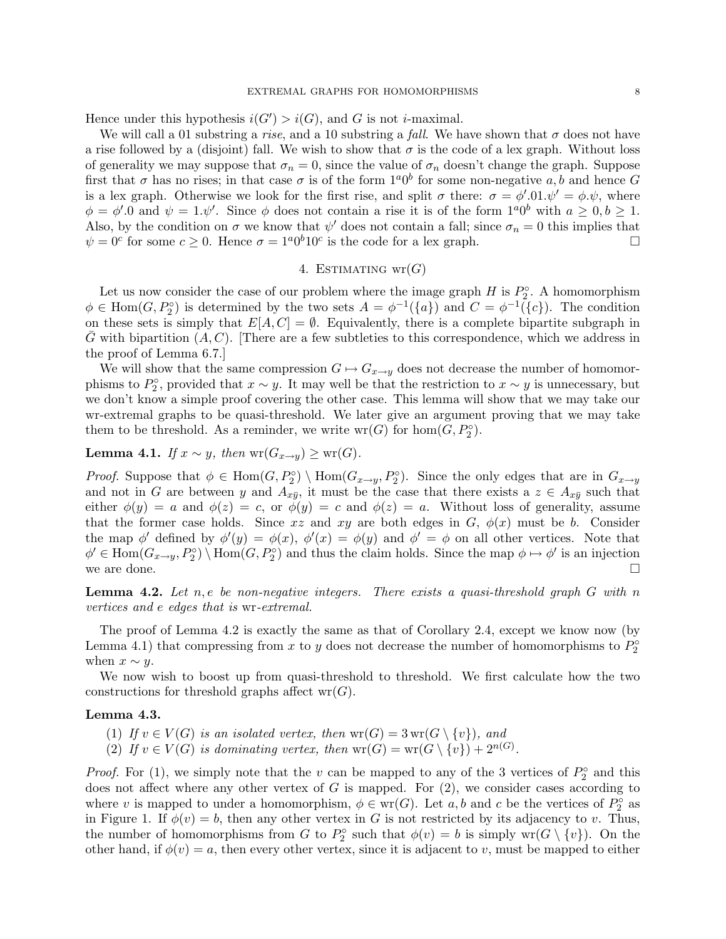Hence under this hypothesis  $i(G') > i(G)$ , and G is not *i*-maximal.

We will call a 01 substring a rise, and a 10 substring a fall. We have shown that  $\sigma$  does not have a rise followed by a (disjoint) fall. We wish to show that  $\sigma$  is the code of a lex graph. Without loss of generality we may suppose that  $\sigma_n = 0$ , since the value of  $\sigma_n$  doesn't change the graph. Suppose first that  $\sigma$  has no rises; in that case  $\sigma$  is of the form  $1^a0^b$  for some non-negative  $a, b$  and hence G is a lex graph. Otherwise we look for the first rise, and split  $\sigma$  there:  $\sigma = \phi' \cdot 01 \cdot \psi' = \phi \cdot \psi$ , where  $\phi = \phi'$ . O and  $\psi = 1.\psi'$ . Since  $\phi$  does not contain a rise it is of the form  $1^a 0^b$  with  $a \geq 0, b \geq 1$ . Also, by the condition on  $\sigma$  we know that  $\psi'$  does not contain a fall; since  $\sigma_n = 0$  this implies that  $\psi = 0^c$  for some  $c \ge 0$ . Hence  $\sigma = 1^a 0^b 10^c$  is the code for a lex graph.

## 4. ESTIMATING  $wr(G)$

Let us now consider the case of our problem where the image graph  $H$  is  $P_2^{\circ}$ . A homomorphism  $\phi \in \text{Hom}(G, P_2^{\circ})$  is determined by the two sets  $A = \phi^{-1}(\{a\})$  and  $C = \phi^{-1}(\{c\})$ . The condition on these sets is simply that  $E[A, C] = \emptyset$ . Equivalently, there is a complete bipartite subgraph in G with bipartition  $(A, C)$ . [There are a few subtleties to this correspondence, which we address in the proof of Lemma 6.7.]

We will show that the same compression  $G \mapsto G_{x \to y}$  does not decrease the number of homomorphisms to  $P_2^{\circ}$ , provided that  $x \sim y$ . It may well be that the restriction to  $x \sim y$  is unnecessary, but we don't know a simple proof covering the other case. This lemma will show that we may take our wr-extremal graphs to be quasi-threshold. We later give an argument proving that we may take them to be threshold. As a reminder, we write  $wr(G)$  for  $hom(G, P_2^{\circ}).$ 

Lemma 4.1. If  $x \sim y$ , then wr $(G_{x\to y}) \geq \text{wr}(G)$ .

*Proof.* Suppose that  $\phi \in \text{Hom}(G, P_2^{\circ}) \setminus \text{Hom}(G_{x \to y}, P_2^{\circ})$ . Since the only edges that are in  $G_{x \to y}$ and not in G are between y and  $A_{x\bar{y}}$ , it must be the case that there exists a  $z \in A_{x\bar{y}}$  such that either  $\phi(y) = a$  and  $\phi(z) = c$ , or  $\phi(y) = c$  and  $\phi(z) = a$ . Without loss of generality, assume that the former case holds. Since xz and xy are both edges in  $G, \phi(x)$  must be b. Consider the map  $\phi'$  defined by  $\phi'(y) = \phi(x)$ ,  $\phi'(x) = \phi(y)$  and  $\phi' = \phi$  on all other vertices. Note that  $\phi' \in \text{Hom}(G_{x \to y}, P_2^{\circ}) \setminus \text{Hom}(G, P_2^{\circ})$  and thus the claim holds. Since the map  $\phi \mapsto \phi'$  is an injection we are done.  $\square$ 

**Lemma 4.2.** Let  $n, e$  be non-negative integers. There exists a quasi-threshold graph  $G$  with  $n$ vertices and e edges that is wr-extremal.

The proof of Lemma 4.2 is exactly the same as that of Corollary 2.4, except we know now (by Lemma 4.1) that compressing from x to y does not decrease the number of homomorphisms to  $P_2^{\circ}$ when  $x \sim y$ .

We now wish to boost up from quasi-threshold to threshold. We first calculate how the two constructions for threshold graphs affect  $wr(G)$ .

#### Lemma 4.3.

- (1) If  $v \in V(G)$  is an isolated vertex, then  $wr(G) = 3wr(G \setminus \{v\})$ , and
- (2) If  $v \in V(G)$  is dominating vertex, then  $wr(G) = wr(G \setminus \{v\}) + 2^{n(G)}$ .

*Proof.* For (1), we simply note that the v can be mapped to any of the 3 vertices of  $P_2^{\circ}$  and this does not affect where any other vertex of  $G$  is mapped. For  $(2)$ , we consider cases according to where v is mapped to under a homomorphism,  $\phi \in \text{wr}(G)$ . Let a, b and c be the vertices of  $P_2^{\circ}$  as in Figure 1. If  $\phi(v) = b$ , then any other vertex in G is not restricted by its adjacency to v. Thus, the number of homomorphisms from G to  $P_2^{\circ}$  such that  $\phi(v) = b$  is simply wr( $G \setminus \{v\}$ ). On the other hand, if  $\phi(v) = a$ , then every other vertex, since it is adjacent to v, must be mapped to either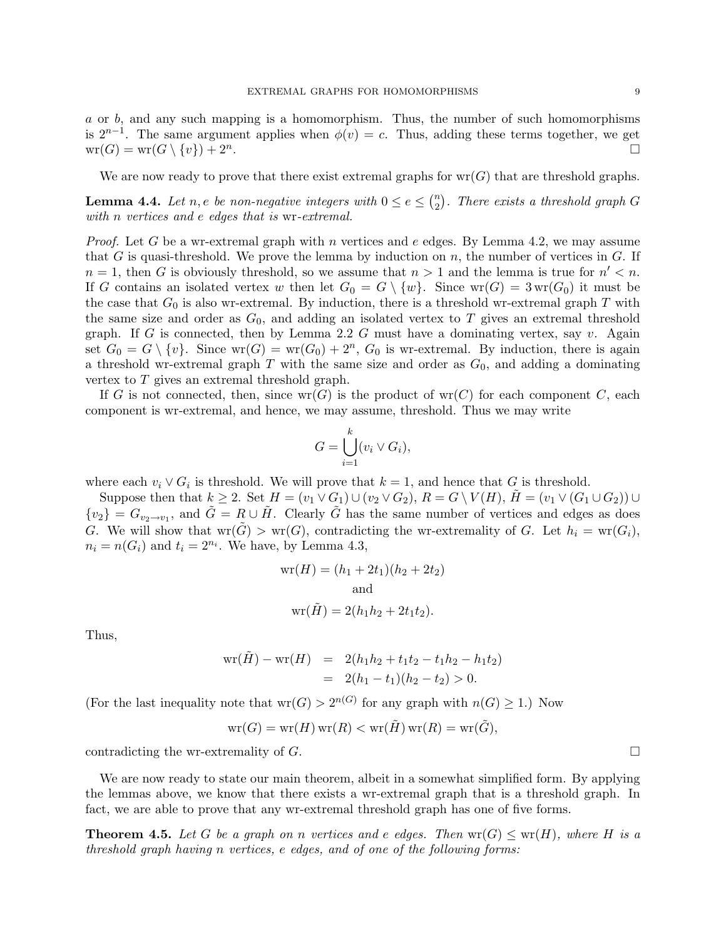a or b, and any such mapping is a homomorphism. Thus, the number of such homomorphisms is  $2^{n-1}$ . The same argument applies when  $\phi(v) = c$ . Thus, adding these terms together, we get  $wr(G) = wr(G \setminus \{v\}) + 2^n$ . .

We are now ready to prove that there exist extremal graphs for  $wr(G)$  that are threshold graphs.

**Lemma 4.4.** Let n, e be non-negative integers with  $0 \le e \le {n \choose 2}$  $\binom{n}{2}$ . There exists a threshold graph G with *n* vertices and *e* edges that is wr-extremal.

*Proof.* Let G be a wr-extremal graph with n vertices and e edges. By Lemma 4.2, we may assume that G is quasi-threshold. We prove the lemma by induction on  $n$ , the number of vertices in  $G$ . If  $n = 1$ , then G is obviously threshold, so we assume that  $n > 1$  and the lemma is true for  $n' < n$ . If G contains an isolated vertex w then let  $G_0 = G \setminus \{w\}$ . Since  $wr(G) = 3wr(G_0)$  it must be the case that  $G_0$  is also wr-extremal. By induction, there is a threshold wr-extremal graph T with the same size and order as  $G_0$ , and adding an isolated vertex to T gives an extremal threshold graph. If G is connected, then by Lemma 2.2 G must have a dominating vertex, say  $v$ . Again set  $G_0 = G \setminus \{v\}$ . Since  $wr(G) = wr(G_0) + 2^n$ ,  $G_0$  is wr-extremal. By induction, there is again a threshold wr-extremal graph  $T$  with the same size and order as  $G_0$ , and adding a dominating vertex to T gives an extremal threshold graph.

If G is not connected, then, since  $wr(G)$  is the product of  $wr(C)$  for each component C, each component is wr-extremal, and hence, we may assume, threshold. Thus we may write

$$
G = \bigcup_{i=1}^{k} (v_i \vee G_i),
$$

where each  $v_i \vee G_i$  is threshold. We will prove that  $k = 1$ , and hence that G is threshold.

Suppose then that  $k \geq 2$ . Set  $H = (v_1 \vee G_1) \cup (v_2 \vee G_2)$ ,  $R = G \setminus V(H)$ ,  $H = (v_1 \vee (G_1 \cup G_2)) \cup$  $\{v_2\} = G_{v_2 \to v_1}$ , and  $\tilde{G} = R \cup \tilde{H}$ . Clearly  $\tilde{G}$  has the same number of vertices and edges as does G. We will show that  $wr(\tilde{G}) > wr(G)$ , contradicting the wr-extremality of G. Let  $h_i = wr(G_i)$ ,  $n_i = n(G_i)$  and  $t_i = 2^{n_i}$ . We have, by Lemma 4.3,

$$
wr(H) = (h1 + 2t1)(h2 + 2t2)
$$
  
and  

$$
wr(\tilde{H}) = 2(h1h2 + 2t1t2).
$$

Thus,

$$
wr(\tilde{H}) - wr(H) = 2(h_1h_2 + t_1t_2 - t_1h_2 - h_1t_2)
$$
  
= 2(h<sub>1</sub> - t<sub>1</sub>)(h<sub>2</sub> - t<sub>2</sub>) > 0.

(For the last inequality note that  $wr(G) > 2^{n(G)}$  for any graph with  $n(G) \geq 1$ .) Now

$$
\mathrm{wr}(G)=\mathrm{wr}(H)\,\mathrm{wr}(R)<\mathrm{wr}(\tilde{H})\,\mathrm{wr}(R)=\mathrm{wr}(\tilde{G}),
$$

contradicting the wr-extremality of  $G$ .

We are now ready to state our main theorem, albeit in a somewhat simplified form. By applying the lemmas above, we know that there exists a wr-extremal graph that is a threshold graph. In fact, we are able to prove that any wr-extremal threshold graph has one of five forms.

**Theorem 4.5.** Let G be a graph on n vertices and e edges. Then  $\text{wr}(G) \leq \text{wr}(H)$ , where H is a threshold graph having n vertices, e edges, and of one of the following forms: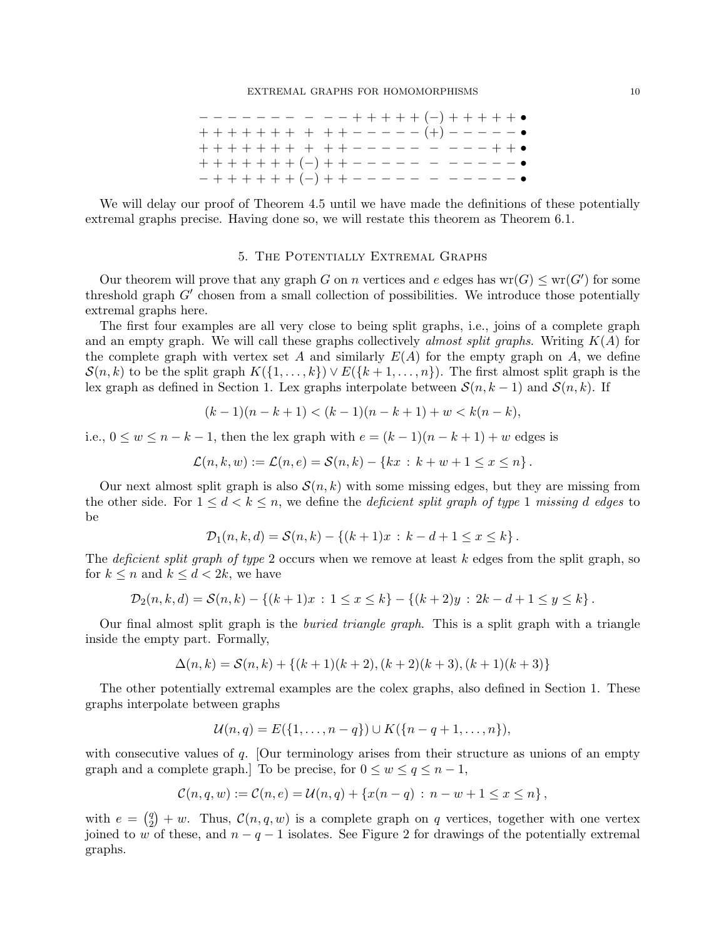− − − − − − − − − − + + + + + (−) + + + + + • + + + + + + + + + + − − − − − (+) − − − − − • + + + + + + + + + + − − − − − − − − − + + • + + + + + + + (−) + + − − − − − − − − − − − • − + + + + + + (−) + + − − − − − − − − − − − •

We will delay our proof of Theorem 4.5 until we have made the definitions of these potentially extremal graphs precise. Having done so, we will restate this theorem as Theorem 6.1.

## 5. The Potentially Extremal Graphs

Our theorem will prove that any graph G on n vertices and e edges has  $wr(G) \leq wr(G')$  for some threshold graph  $G'$  chosen from a small collection of possibilities. We introduce those potentially extremal graphs here.

The first four examples are all very close to being split graphs, i.e., joins of a complete graph and an empty graph. We will call these graphs collectively almost split graphs. Writing  $K(A)$  for the complete graph with vertex set A and similarly  $E(A)$  for the empty graph on A, we define  $\mathcal{S}(n, k)$  to be the split graph  $K(\{1, \ldots, k\}) \vee E(\{k+1, \ldots, n\})$ . The first almost split graph is the lex graph as defined in Section 1. Lex graphs interpolate between  $\mathcal{S}(n, k-1)$  and  $\mathcal{S}(n, k)$ . If

$$
(k-1)(n-k+1) < (k-1)(n-k+1) + w < k(n-k),
$$

i.e.,  $0 \le w \le n - k - 1$ , then the lex graph with  $e = (k - 1)(n - k + 1) + w$  edges is

$$
\mathcal{L}(n,k,w) := \mathcal{L}(n,e) = \mathcal{S}(n,k) - \{kx \,:\, k+w+1 \leq x \leq n\}.
$$

Our next almost split graph is also  $\mathcal{S}(n, k)$  with some missing edges, but they are missing from the other side. For  $1 \leq d < k \leq n$ , we define the *deficient split graph of type* 1 missing *d* edges to be

$$
\mathcal{D}_1(n,k,d) = \mathcal{S}(n,k) - \{(k+1)x \, : \, k - d + 1 \le x \le k\}.
$$

The deficient split graph of type 2 occurs when we remove at least  $k$  edges from the split graph, so for  $k \leq n$  and  $k \leq d < 2k$ , we have

$$
\mathcal{D}_2(n,k,d) = \mathcal{S}(n,k) - \{(k+1)x \,:\, 1 \leq x \leq k\} - \{(k+2)y \,:\, 2k - d + 1 \leq y \leq k\}.
$$

Our final almost split graph is the buried triangle graph. This is a split graph with a triangle inside the empty part. Formally,

$$
\Delta(n,k) = \mathcal{S}(n,k) + \{(k+1)(k+2), (k+2)(k+3), (k+1)(k+3)\}
$$

The other potentially extremal examples are the colex graphs, also defined in Section 1. These graphs interpolate between graphs

$$
\mathcal{U}(n,q) = E({1,\ldots,n-q}) \cup K({n-q+1,\ldots,n}),
$$

with consecutive values of  $q$ . [Our terminology arises from their structure as unions of an empty graph and a complete graph.] To be precise, for  $0 \le w \le q \le n-1$ ,

$$
\mathcal{C}(n,q,w) := \mathcal{C}(n,e) = \mathcal{U}(n,q) + \{x(n-q) : n-w+1 \leq x \leq n\},\,
$$

with  $e = \begin{pmatrix} q \\ q \end{pmatrix}$  $\mathcal{L}_2^q$  + w. Thus,  $\mathcal{C}(n,q,w)$  is a complete graph on q vertices, together with one vertex joined to w of these, and  $n - q - 1$  isolates. See Figure 2 for drawings of the potentially extremal graphs.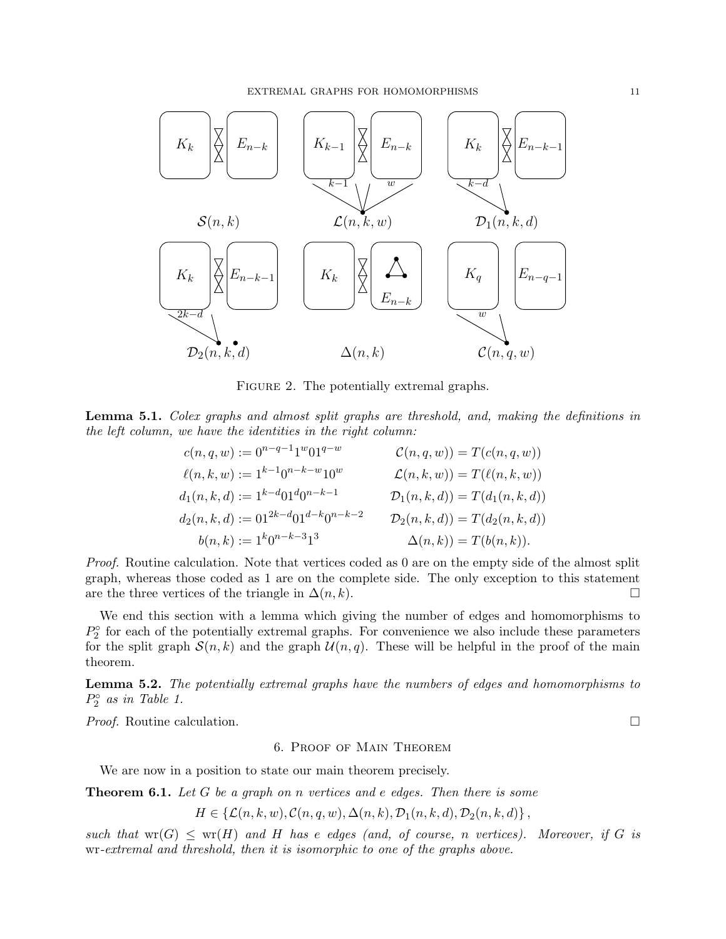

FIGURE 2. The potentially extremal graphs.

Lemma 5.1. Colex graphs and almost split graphs are threshold, and, making the definitions in the left column, we have the identities in the right column:

$$
c(n, q, w) := 0^{n-q-1}1^{w}01^{q-w}
$$
  
\n
$$
\ell(n, k, w) := 1^{k-1}0^{n-k-w}10^{w}
$$
  
\n
$$
d_1(n, k, d) := 1^{k-d}01^{d}0^{n-k-1}
$$
  
\n
$$
d_2(n, k, d) := 01^{2k-d}01^{d-k}0^{n-k-2}
$$
  
\n
$$
d_3(n, k) := 1^{k}0^{n-k-3}1^{3}
$$
  
\n
$$
d_4(n, k, d) := 1^{k}0^{n-k-3}1^{3}
$$
  
\n
$$
d_5(n, k) := 1^{k}0^{n-k-3}1^{3}
$$
  
\n
$$
d_7(n, k) = T(d_2(n, k, d))
$$
  
\n
$$
d_8(n, k) := 1^{k}0^{n-k-3}1^{3}
$$
  
\n
$$
d_9(n, k) := T(d_2(n, k, d))
$$
  
\n
$$
d_9(n, k) := 1^{k}0^{n-k-3}1^{3}
$$
  
\n
$$
d_9(n, k) := T(d_2(n, k, d))
$$
  
\n
$$
d_9(n, k) := T(d_9(n, k))
$$

Proof. Routine calculation. Note that vertices coded as 0 are on the empty side of the almost split graph, whereas those coded as 1 are on the complete side. The only exception to this statement are the three vertices of the triangle in  $\Delta(n, k)$ .

We end this section with a lemma which giving the number of edges and homomorphisms to  $P_2^{\circ}$  for each of the potentially extremal graphs. For convenience we also include these parameters for the split graph  $\mathcal{S}(n,k)$  and the graph  $\mathcal{U}(n,q)$ . These will be helpful in the proof of the main theorem.

Lemma 5.2. The potentially extremal graphs have the numbers of edges and homomorphisms to  $P_2^{\circ}$  as in Table 1.

*Proof.* Routine calculation.  $\square$ 

## 6. Proof of Main Theorem

We are now in a position to state our main theorem precisely.

**Theorem 6.1.** Let G be a graph on n vertices and e edges. Then there is some

$$
H \in \{ \mathcal{L}(n,k,w), \mathcal{C}(n,q,w), \Delta(n,k), \mathcal{D}_1(n,k,d), \mathcal{D}_2(n,k,d) \},\
$$

such that  $wr(G) \leq wr(H)$  and H has e edges (and, of course, n vertices). Moreover, if G is wr-extremal and threshold, then it is isomorphic to one of the graphs above.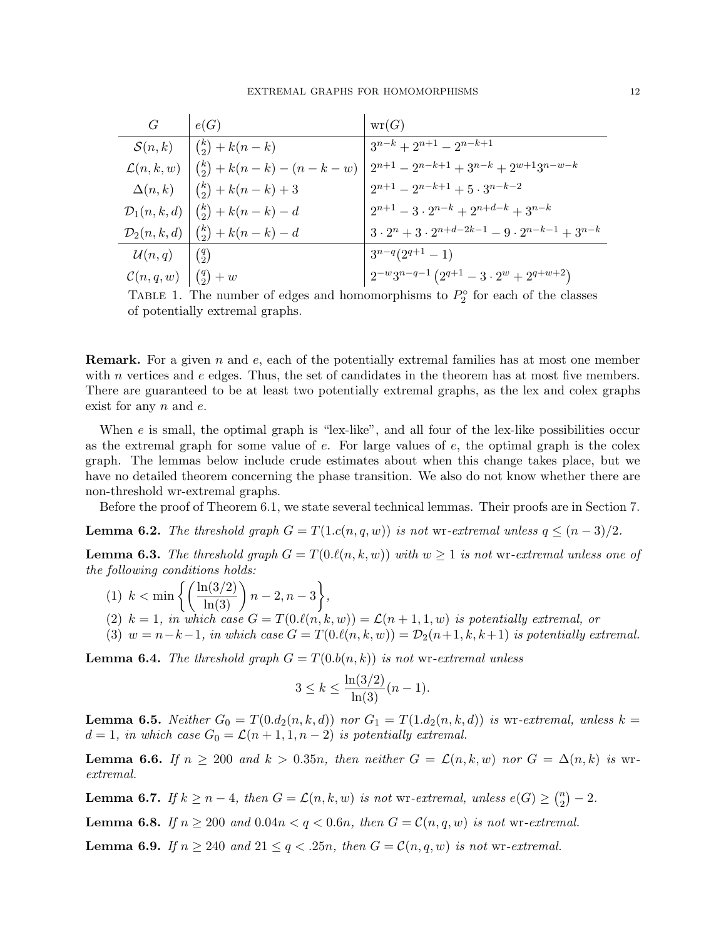| $\mathcal G$           | e(G)                              | wr(G)                                                              |
|------------------------|-----------------------------------|--------------------------------------------------------------------|
| $\mathcal{S}(n,k)$     | $(k) + k(n-k)$                    | $3^{n-k} + 2^{n+1} - 2^{n-k+1}$                                    |
| $\mathcal{L}(n,k,w)$   | $\binom{k}{2} + k(n-k) - (n-k-w)$ | $2^{n+1} - 2^{n-k+1} + 3^{n-k} + 2^{w+1}3^{n-w-k}$                 |
| $\Delta(n,k)$          | ${k \choose 2} + k(n-k) + 3$      | $2^{n+1} - 2^{n-k+1} + 5 \cdot 3^{n-k-2}$                          |
| $\mathcal{D}_1(n,k,d)$ | $\binom{k}{2} + k(n-k) - d$       | $2^{n+1} - 3 \cdot 2^{n-k} + 2^{n+d-k} + 3^{n-k}$                  |
| $\mathcal{D}_2(n,k,d)$ | $\binom{k}{2} + k(n-k) - d$       | $3 \cdot 2^n + 3 \cdot 2^{n+d-2k-1} - 9 \cdot 2^{n-k-1} + 3^{n-k}$ |
| $\mathcal{U}(n,q)$     | $\binom{q}{2}$                    | $3^{n-q}(2^{q+1}-1)$                                               |
| $\mathcal{C}(n,q,w)$   | $\binom{q}{2} + w$                | $2^{-w}3^{n-q-1}(2^{q+1}-3\cdot 2^w+2^{q+w+2})$                    |

TABLE 1. The number of edges and homomorphisms to  $P_2^{\circ}$  for each of the classes of potentially extremal graphs.

**Remark.** For a given n and e, each of the potentially extremal families has at most one member with  $n$  vertices and  $e$  edges. Thus, the set of candidates in the theorem has at most five members. There are guaranteed to be at least two potentially extremal graphs, as the lex and colex graphs exist for any n and e.

When  $e$  is small, the optimal graph is "lex-like", and all four of the lex-like possibilities occur as the extremal graph for some value of  $e$ . For large values of  $e$ , the optimal graph is the colex graph. The lemmas below include crude estimates about when this change takes place, but we have no detailed theorem concerning the phase transition. We also do not know whether there are non-threshold wr-extremal graphs.

Before the proof of Theorem 6.1, we state several technical lemmas. Their proofs are in Section 7.

**Lemma 6.2.** The threshold graph  $G = T(1.c(n,q,w))$  is not wr-extremal unless  $q \leq (n-3)/2$ .

**Lemma 6.3.** The threshold graph  $G = T(0.\ell(n, k, w))$  with  $w \geq 1$  is not wr-extremal unless one of the following conditions holds:

- (1)  $k < \min \left\{ \left( \frac{\ln(3/2)}{\ln(3)} \right) n 2, n 3 \right\},\$
- (2)  $k = 1$ , in which case  $G = T(0.\ell(n, k, w)) = \mathcal{L}(n + 1, 1, w)$  is potentially extremal, or
- (3)  $w = n-k-1$ , in which case  $G = T(0.\ell(n, k, w)) = D_2(n+1, k, k+1)$  is potentially extremal.

**Lemma 6.4.** The threshold graph  $G = T(0.b(n, k))$  is not wr-extremal unless

$$
3 \le k \le \frac{\ln(3/2)}{\ln(3)}(n-1).
$$

**Lemma 6.5.** Neither  $G_0 = T(0.d_2(n,k,d))$  nor  $G_1 = T(1.d_2(n,k,d))$  is wr-extremal, unless  $k =$  $d = 1$ , in which case  $G_0 = \mathcal{L}(n+1, 1, n-2)$  is potentially extremal.

**Lemma 6.6.** If  $n \ge 200$  and  $k > 0.35n$ , then neither  $G = \mathcal{L}(n, k, w)$  nor  $G = \Delta(n, k)$  is wrextremal.

**Lemma 6.7.** If  $k \geq n-4$ , then  $G = \mathcal{L}(n, k, w)$  is not wr-extremal, unless  $e(G) \geq {n \choose 2}$  $\binom{n}{2} - 2.$ 

**Lemma 6.8.** If  $n \geq 200$  and  $0.04n < q < 0.6n$ , then  $G = \mathcal{C}(n, q, w)$  is not wr-extremal.

**Lemma 6.9.** If  $n \geq 240$  and  $21 \leq q \leq .25n$ , then  $G = \mathcal{C}(n, q, w)$  is not wr-extremal.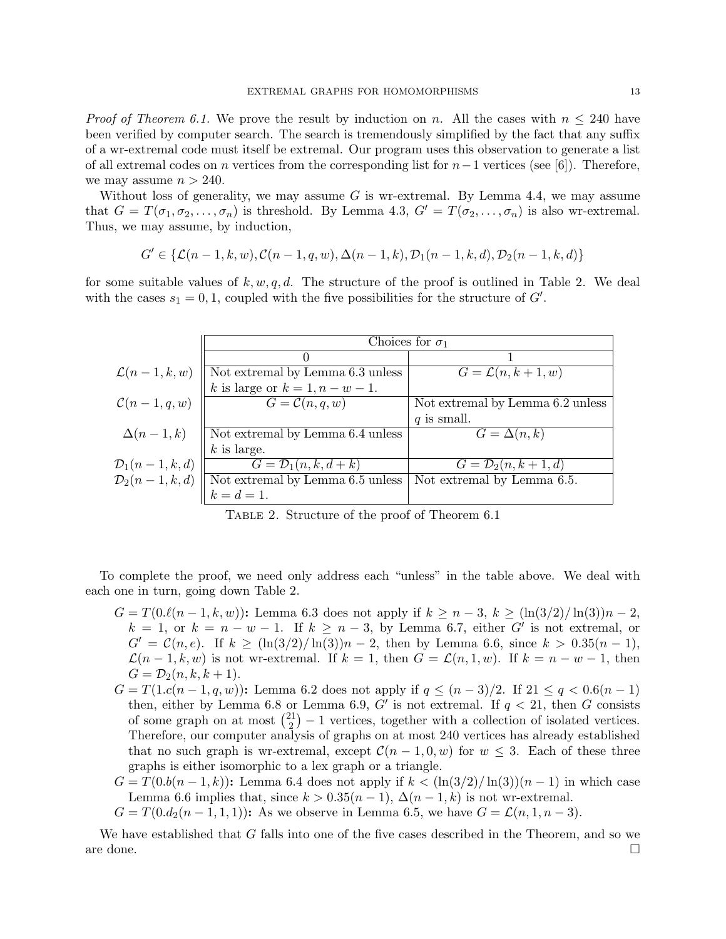*Proof of Theorem 6.1.* We prove the result by induction on n. All the cases with  $n \leq 240$  have been verified by computer search. The search is tremendously simplified by the fact that any suffix of a wr-extremal code must itself be extremal. Our program uses this observation to generate a list of all extremal codes on n vertices from the corresponding list for  $n-1$  vertices (see [6]). Therefore, we may assume  $n > 240$ .

Without loss of generality, we may assume  $G$  is wr-extremal. By Lemma 4.4, we may assume that  $G = T(\sigma_1, \sigma_2, \ldots, \sigma_n)$  is threshold. By Lemma 4.3,  $G' = T(\sigma_2, \ldots, \sigma_n)$  is also wr-extremal. Thus, we may assume, by induction,

$$
G' \in \{\mathcal{L}(n-1,k,w), \mathcal{C}(n-1,q,w), \Delta(n-1,k), \mathcal{D}_1(n-1,k,d), \mathcal{D}_2(n-1,k,d)\}
$$

for some suitable values of k, w, q, d. The structure of the proof is outlined in Table 2. We deal with the cases  $s_1 = 0, 1$ , coupled with the five possibilities for the structure of  $G'$ .

|                          | Choices for $\sigma_1$                               |                                  |
|--------------------------|------------------------------------------------------|----------------------------------|
|                          |                                                      |                                  |
| $\mathcal{L}(n-1,k,w)$   | $\overline{\text{Not}}$ extremal by Lemma 6.3 unless | $G = \mathcal{L}(n, k+1, w)$     |
|                          | k is large or $k = 1, n - w - 1$ .                   |                                  |
| $\mathcal{C}(n-1,q,w)$   | $G = \mathcal{C}(n,q,w)$                             | Not extremal by Lemma 6.2 unless |
|                          |                                                      | $q$ is small.                    |
| $\Delta(n-1,k)$          | Not extremal by Lemma 6.4 unless                     | $G = \Delta(n,k)$                |
|                          | $k$ is large.                                        |                                  |
| $\mathcal{D}_1(n-1,k,d)$ | $G = \mathcal{D}_1(n,k,d+k)$                         | $G=\mathcal{D}_2(n,k+1,d)$       |
| $\mathcal{D}_2(n-1,k,d)$ | $\parallel$ Not extremal by Lemma $6.5$ unless       | Not extremal by Lemma 6.5.       |
|                          | $k = d = 1.$                                         |                                  |

Table 2. Structure of the proof of Theorem 6.1

To complete the proof, we need only address each "unless" in the table above. We deal with each one in turn, going down Table 2.

- $G = T(0.\ell(n-1, k, w))$ : Lemma 6.3 does not apply if  $k \geq n-3$ ,  $k \geq (\ln(3/2)/\ln(3))n-2$ ,  $k = 1$ , or  $k = n - w - 1$ . If  $k \geq n - 3$ , by Lemma 6.7, either G' is not extremal, or  $G' = \mathcal{C}(n, e)$ . If  $k \geq (\ln(3/2)/\ln(3))n - 2$ , then by Lemma 6.6, since  $k > 0.35(n - 1)$ ,  $\mathcal{L}(n-1,k,w)$  is not wr-extremal. If  $k=1$ , then  $G=\mathcal{L}(n,1,w)$ . If  $k=n-w-1$ , then  $G = \mathcal{D}_2(n, k, k + 1).$
- $G = T(1.c(n-1, q, w))$ : Lemma 6.2 does not apply if  $q \leq (n-3)/2$ . If  $21 \leq q < 0.6(n-1)$ then, either by Lemma 6.8 or Lemma 6.9, G' is not extremal. If  $q < 21$ , then G consists of some graph on at most  $\binom{21}{2}$  $2^{21}_{2}$ ) – 1 vertices, together with a collection of isolated vertices. Therefore, our computer analysis of graphs on at most 240 vertices has already established that no such graph is wr-extremal, except  $\mathcal{C}(n-1,0,w)$  for  $w \leq 3$ . Each of these three graphs is either isomorphic to a lex graph or a triangle.
- $G = T(0.b(n-1,k))$ : Lemma 6.4 does not apply if  $k < (\ln(3/2)/\ln(3))(n-1)$  in which case Lemma 6.6 implies that, since  $k > 0.35(n-1)$ ,  $\Delta(n-1,k)$  is not wr-extremal.
- $G = T(0.d_2(n-1,1,1))$ : As we observe in Lemma 6.5, we have  $G = \mathcal{L}(n,1,n-3)$ .

We have established that G falls into one of the five cases described in the Theorem, and so we are done.  $\Box$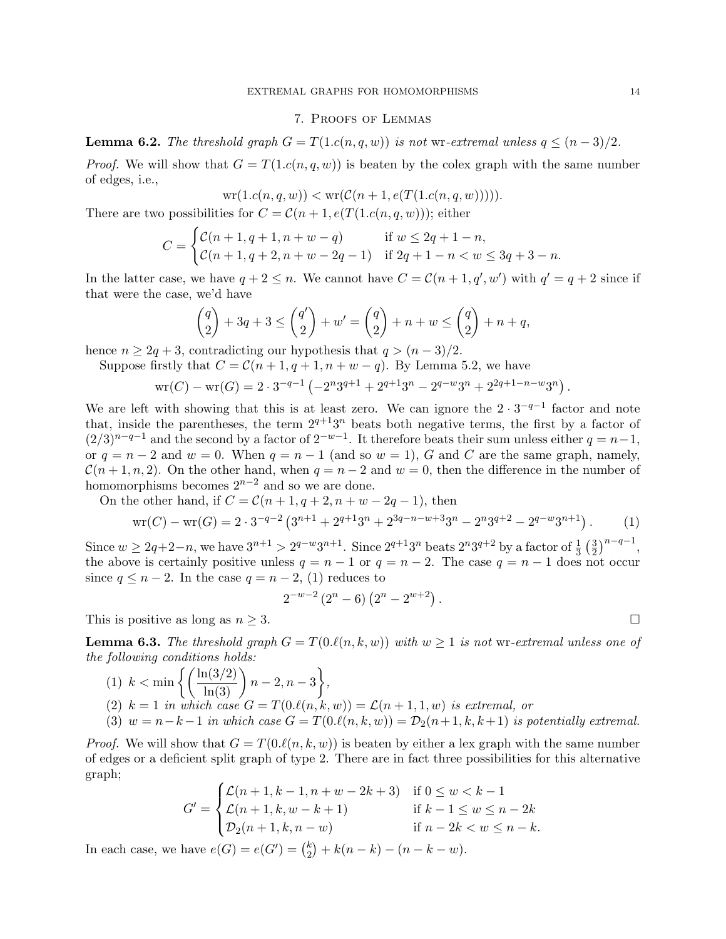#### 7. Proofs of Lemmas

**Lemma 6.2.** The threshold graph  $G = T(1.c(n,q,w))$  is not wr-extremal unless  $q \leq (n-3)/2$ .

*Proof.* We will show that  $G = T(1.c(n, q, w))$  is beaten by the colex graph with the same number of edges, i.e.,

$$
wr(1.c(n, q, w)) < wr(C(n + 1, e(T(1.c(n, q, w))))).
$$

There are two possibilities for  $C = \mathcal{C}(n+1, e(T(1.c(n, q, w)))$ ; either

$$
C = \begin{cases} C(n+1, q+1, n+w-q) & \text{if } w \le 2q+1-n, \\ C(n+1, q+2, n+w-2q-1) & \text{if } 2q+1-n < w \le 3q+3-n. \end{cases}
$$

In the latter case, we have  $q + 2 \leq n$ . We cannot have  $C = \mathcal{C}(n + 1, q', w')$  with  $q' = q + 2$  since if that were the case, we'd have

$$
\binom{q}{2} + 3q + 3 \le \binom{q'}{2} + w' = \binom{q}{2} + n + w \le \binom{q}{2} + n + q,
$$

hence  $n \geq 2q + 3$ , contradicting our hypothesis that  $q > (n-3)/2$ .

Suppose firstly that  $C = \mathcal{C}(n+1, q+1, n+w-q)$ . By Lemma 5.2, we have

$$
\text{wr}(C) - \text{wr}(G) = 2 \cdot 3^{-q-1} \left( -2^n 3^{q+1} + 2^{q+1} 3^n - 2^{q-w} 3^n + 2^{2q+1-n-w} 3^n \right)
$$

We are left with showing that this is at least zero. We can ignore the  $2 \cdot 3^{-q-1}$  factor and note that, inside the parentheses, the term  $2^{q+1}3^n$  beats both negative terms, the first by a factor of  $(2/3)^{n-q-1}$  and the second by a factor of  $2^{-w-1}$ . It therefore beats their sum unless either  $q = n-1$ , or  $q = n - 2$  and  $w = 0$ . When  $q = n - 1$  (and so  $w = 1$ ), G and C are the same graph, namely,  $\mathcal{C}(n+1,n,2)$ . On the other hand, when  $q = n-2$  and  $w = 0$ , then the difference in the number of homomorphisms becomes  $2^{n-2}$  and so we are done.

On the other hand, if  $C = \mathcal{C}(n+1, q+2, n+w-2q-1)$ , then

$$
\text{wr}(C) - \text{wr}(G) = 2 \cdot 3^{-q-2} \left( 3^{n+1} + 2^{q+1} 3^n + 2^{3q-n-w+3} 3^n - 2^n 3^{q+2} - 2^{q-w} 3^{n+1} \right). \tag{1}
$$

Since  $w \ge 2q+2-n$ , we have  $3^{n+1} > 2^{q-w}3^{n+1}$ . Since  $2^{q+1}3^n$  beats  $2^n3^{q+2}$  by a factor of  $\frac{1}{3}$   $(\frac{3}{2})$  $\frac{3}{2}\big)^{n-q-1},$ the above is certainly positive unless  $q = n - 1$  or  $q = n - 2$ . The case  $q = n - 1$  does not occur since  $q \leq n-2$ . In the case  $q = n-2$ , (1) reduces to

$$
2^{-w-2}(2^{n}-6)(2^{n}-2^{w+2}).
$$

This is positive as long as  $n \geq 3$ .

**Lemma 6.3.** The threshold graph  $G = T(0.\ell(n, k, w))$  with  $w \geq 1$  is not wr-extremal unless one of the following conditions holds:

(1) 
$$
k < \min\left\{ \left( \frac{\ln(3/2)}{\ln(3)} \right) n - 2, n - 3 \right\},
$$
  
\n(2) 
$$
k = 1
$$
 in which case  $G = T(0.\ell(n, k, w)) = \mathcal{L}(n + 1, 1, w)$  is extremal, or  
\n(3) 
$$
w = n - k - 1
$$
 in which case  $G = T(0.\ell(n, k, w)) = \mathcal{D}_2(n + 1, k, k + 1)$  is potentially extremal.

*Proof.* We will show that  $G = T(0.\ell(n, k, w))$  is beaten by either a lex graph with the same number of edges or a deficient split graph of type 2. There are in fact three possibilities for this alternative graph;

$$
G' = \begin{cases} \mathcal{L}(n+1, k-1, n+w-2k+3) & \text{if } 0 \le w < k-1 \\ \mathcal{L}(n+1, k, w-k+1) & \text{if } k-1 \le w \le n-2k \\ \mathcal{D}_2(n+1, k, n-w) & \text{if } n-2k < w \le n-k. \end{cases}
$$

In each case, we have  $e(G) = e(G') = {k \choose 2}$  $\binom{k}{2} + k(n-k) - (n-k-w).$ 

.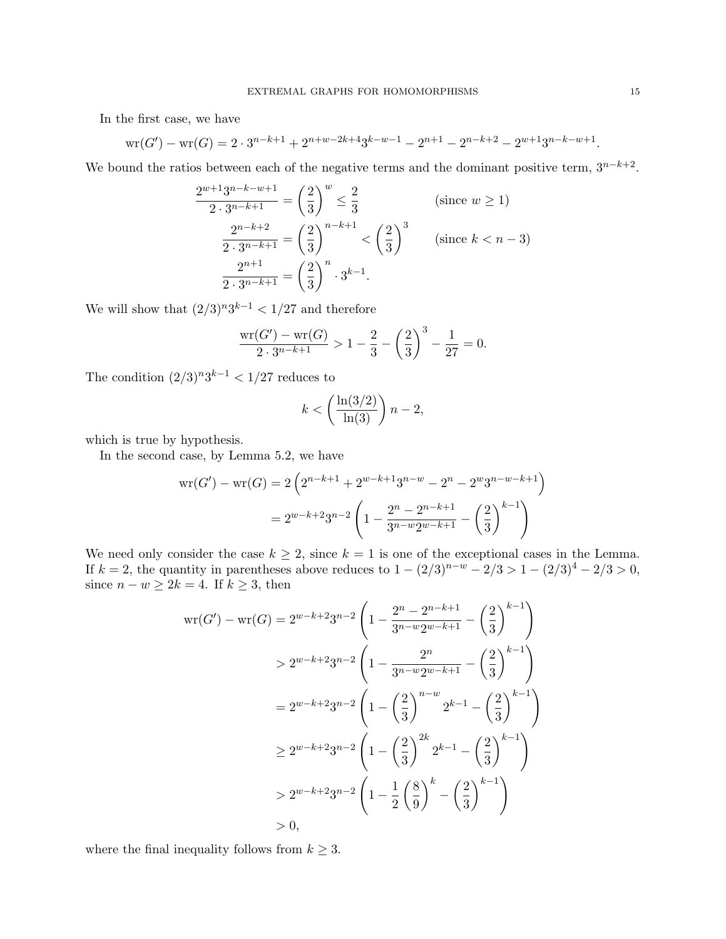In the first case, we have

$$
\text{wr}(G') - \text{wr}(G) = 2 \cdot 3^{n-k+1} + 2^{n+w-2k+4}3^{k-w-1} - 2^{n+1} - 2^{n-k+2} - 2^{w+1}3^{n-k-w+1}.
$$

We bound the ratios between each of the negative terms and the dominant positive term,  $3^{n-k+2}$ .

$$
\frac{2^{w+1}3^{n-k-w+1}}{2 \cdot 3^{n-k+1}} = \left(\frac{2}{3}\right)^w \le \frac{2}{3}
$$
 (since  $w \ge 1$ )  

$$
\frac{2^{n-k+2}}{2 \cdot 3^{n-k+1}} = \left(\frac{2}{3}\right)^{n-k+1} < \left(\frac{2}{3}\right)^3
$$
 (since  $k < n - 3$ )  

$$
\frac{2^{n+1}}{2 \cdot 3^{n-k+1}} = \left(\frac{2}{3}\right)^n \cdot 3^{k-1}.
$$

We will show that  $(2/3)^n 3^{k-1} < 1/27$  and therefore

$$
\frac{\text{wr}(G') - \text{wr}(G)}{2 \cdot 3^{n-k+1}} > 1 - \frac{2}{3} - \left(\frac{2}{3}\right)^3 - \frac{1}{27} = 0.
$$

The condition  $(2/3)^n 3^{k-1} < 1/27$  reduces to

$$
k < \left(\frac{\ln(3/2)}{\ln(3)}\right)n - 2,
$$

which is true by hypothesis.

In the second case, by Lemma 5.2, we have

$$
wr(G') - wr(G) = 2\left(2^{n-k+1} + 2^{w-k+1}3^{n-w} - 2^n - 2^w 3^{n-w-k+1}\right)
$$

$$
= 2^{w-k+2}3^{n-2}\left(1 - \frac{2^n - 2^{n-k+1}}{3^{n-w}2^{w-k+1}} - \left(\frac{2}{3}\right)^{k-1}\right)
$$

We need only consider the case  $k \geq 2$ , since  $k = 1$  is one of the exceptional cases in the Lemma. If  $k = 2$ , the quantity in parentheses above reduces to  $1 - (2/3)^{n-w} - 2/3 > 1 - (2/3)^4 - 2/3 > 0$ , since  $n - w \geq 2k = 4$ . If  $k \geq 3$ , then

$$
wr(G') - wr(G) = 2^{w-k+2}3^{n-2} \left( 1 - \frac{2^n - 2^{n-k+1}}{3^{n-w}2^{w-k+1}} - \left(\frac{2}{3}\right)^{k-1} \right)
$$
  
\n
$$
> 2^{w-k+2}3^{n-2} \left( 1 - \frac{2^n}{3^{n-w}2^{w-k+1}} - \left(\frac{2}{3}\right)^{k-1} \right)
$$
  
\n
$$
= 2^{w-k+2}3^{n-2} \left( 1 - \left(\frac{2}{3}\right)^{n-w} 2^{k-1} - \left(\frac{2}{3}\right)^{k-1} \right)
$$
  
\n
$$
\geq 2^{w-k+2}3^{n-2} \left( 1 - \left(\frac{2}{3}\right)^{2k} 2^{k-1} - \left(\frac{2}{3}\right)^{k-1} \right)
$$
  
\n
$$
> 2^{w-k+2}3^{n-2} \left( 1 - \frac{1}{2} \left(\frac{8}{9}\right)^k - \left(\frac{2}{3}\right)^{k-1} \right)
$$
  
\n
$$
> 0,
$$

where the final inequality follows from  $k \geq 3$ .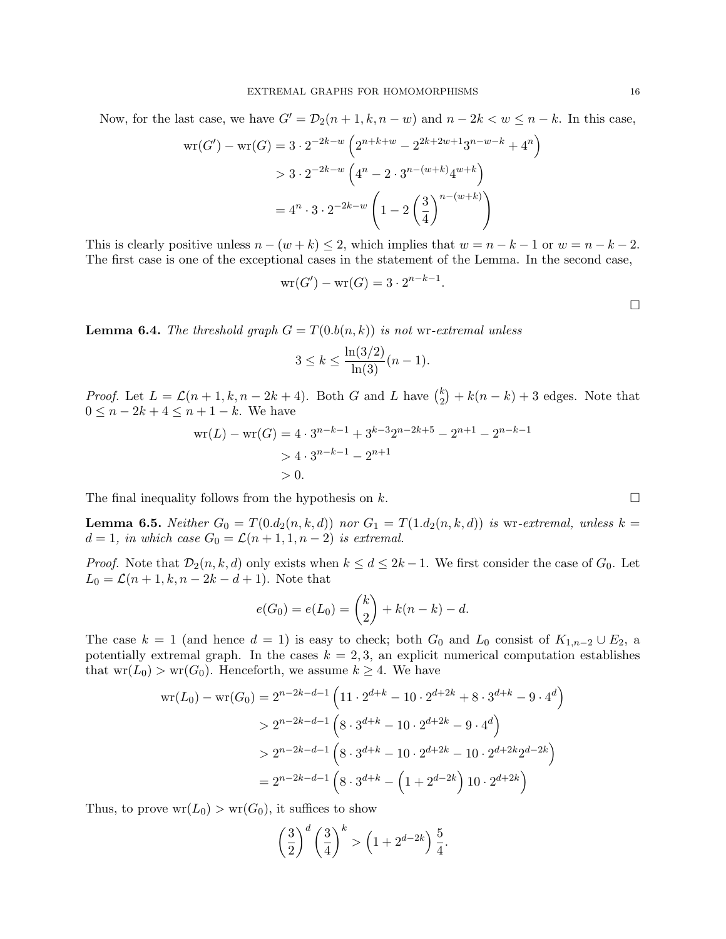Now, for the last case, we have  $G' = \mathcal{D}_2(n+1, k, n-w)$  and  $n-2k < w \leq n-k$ . In this case,

$$
wr(G') - wr(G) = 3 \cdot 2^{-2k-w} \left( 2^{n+k+w} - 2^{2k+2w+1} 3^{n-w-k} + 4^n \right)
$$
  
> 3 \cdot 2^{-2k-w} \left( 4^n - 2 \cdot 3^{n-(w+k)} 4^{w+k} \right)  
= 4^n \cdot 3 \cdot 2^{-2k-w} \left( 1 - 2 \left( \frac{3}{4} \right)^{n-(w+k)} \right)

This is clearly positive unless  $n - (w + k) \leq 2$ , which implies that  $w = n - k - 1$  or  $w = n - k - 2$ . The first case is one of the exceptional cases in the statement of the Lemma. In the second case,

$$
\operatorname{wr}(G') - \operatorname{wr}(G) = 3 \cdot 2^{n-k-1}.
$$

**Lemma 6.4.** The threshold graph  $G = T(0.b(n, k))$  is not wr-extremal unless

$$
3 \le k \le \frac{\ln(3/2)}{\ln(3)}(n-1).
$$

*Proof.* Let  $L = \mathcal{L}(n+1,k,n-2k+4)$ . Both G and L have  $\binom{k}{2}$  $k_2^k$  +  $k(n - k)$  + 3 edges. Note that  $0 \leq n - 2k + 4 \leq n + 1 - k$ . We have

$$
wr(L) - wr(G) = 4 \cdot 3^{n-k-1} + 3^{k-3}2^{n-2k+5} - 2^{n+1} - 2^{n-k-1}
$$
  
> 4 \cdot 3^{n-k-1} - 2^{n+1}  
> 0.

The final inequality follows from the hypothesis on k.  $\Box$ 

**Lemma 6.5.** Neither  $G_0 = T(0.d_2(n,k,d))$  nor  $G_1 = T(1.d_2(n,k,d))$  is wr-extremal, unless  $k =$  $d = 1$ , in which case  $G_0 = \mathcal{L}(n+1, 1, n-2)$  is extremal.

*Proof.* Note that  $\mathcal{D}_2(n, k, d)$  only exists when  $k \leq d \leq 2k - 1$ . We first consider the case of  $G_0$ . Let  $L_0 = \mathcal{L}(n+1, k, n-2k-d+1)$ . Note that

$$
e(G_0) = e(L_0) = {k \choose 2} + k(n-k) - d.
$$

The case  $k = 1$  (and hence  $d = 1$ ) is easy to check; both  $G_0$  and  $L_0$  consist of  $K_{1,n-2} \cup E_2$ , a potentially extremal graph. In the cases  $k = 2, 3$ , an explicit numerical computation establishes that  $wr(L_0) > wr(G_0)$ . Henceforth, we assume  $k \geq 4$ . We have

$$
wr(L_0) - wr(G_0) = 2^{n-2k-d-1} \left( 11 \cdot 2^{d+k} - 10 \cdot 2^{d+2k} + 8 \cdot 3^{d+k} - 9 \cdot 4^d \right)
$$
  
>  $2^{n-2k-d-1} \left( 8 \cdot 3^{d+k} - 10 \cdot 2^{d+2k} - 9 \cdot 4^d \right)$   
>  $2^{n-2k-d-1} \left( 8 \cdot 3^{d+k} - 10 \cdot 2^{d+2k} - 10 \cdot 2^{d+2k} 2^{d-2k} \right)$   
=  $2^{n-2k-d-1} \left( 8 \cdot 3^{d+k} - \left( 1 + 2^{d-2k} \right) 10 \cdot 2^{d+2k} \right)$ 

Thus, to prove  $wr(L_0) > wr(G_0)$ , it suffices to show

$$
\left(\frac{3}{2}\right)^d \left(\frac{3}{4}\right)^k > \left(1 + 2^{d-2k}\right) \frac{5}{4}.
$$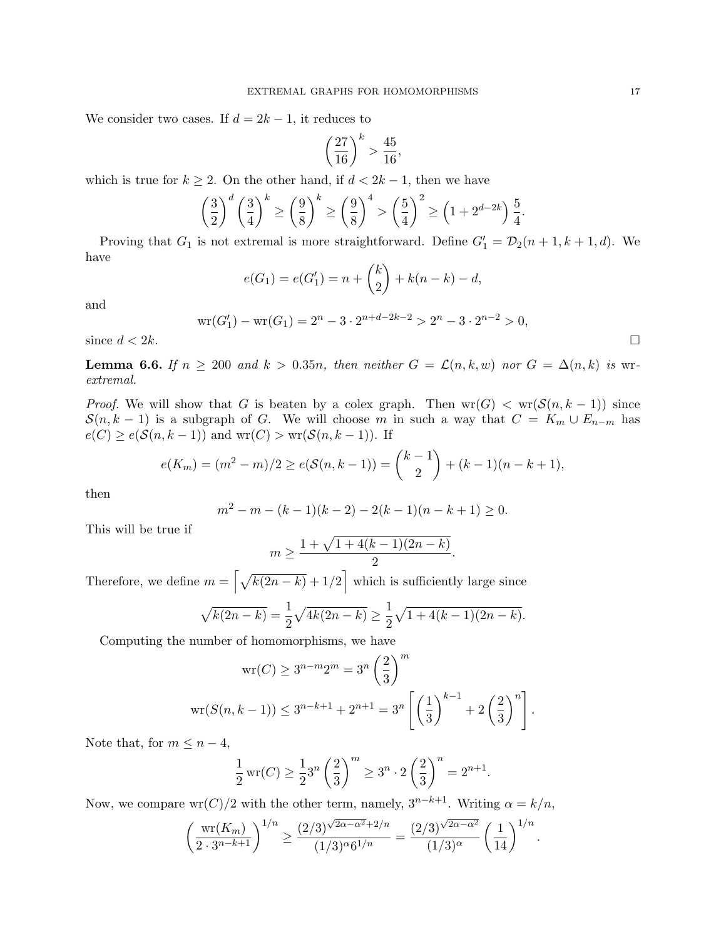We consider two cases. If  $d = 2k - 1$ , it reduces to

$$
\left(\frac{27}{16}\right)^k > \frac{45}{16},
$$

which is true for  $k \geq 2$ . On the other hand, if  $d < 2k - 1$ , then we have

$$
\left(\frac{3}{2}\right)^d \left(\frac{3}{4}\right)^k \ge \left(\frac{9}{8}\right)^k \ge \left(\frac{9}{8}\right)^4 > \left(\frac{5}{4}\right)^2 \ge \left(1 + 2^{d-2k}\right)\frac{5}{4}.
$$

Proving that  $G_1$  is not extremal is more straightforward. Define  $G'_1 = \mathcal{D}_2(n+1,k+1,d)$ . We have

$$
e(G_1) = e(G'_1) = n + {k \choose 2} + k(n - k) - d,
$$

and

$$
\text{wr}(G'_1) - \text{wr}(G_1) = 2^n - 3 \cdot 2^{n+d-2k-2} > 2^n - 3 \cdot 2^{n-2} > 0,
$$
\n
$$
\Box
$$

**Lemma 6.6.** If  $n \geq 200$  and  $k > 0.35n$ , then neither  $G = \mathcal{L}(n, k, w)$  nor  $G = \Delta(n, k)$  is wrextremal.

*Proof.* We will show that G is beaten by a colex graph. Then  $wr(G) < wr(S(n, k-1))$  since  $S(n, k - 1)$  is a subgraph of G. We will choose m in such a way that  $C = K_m \cup E_{n-m}$  has  $e(C) \ge e(\mathcal{S}(n, k-1))$  and  $wr(C) > wr(\mathcal{S}(n, k-1))$ . If

$$
e(K_m) = (m^2 - m)/2 \ge e(S(n, k - 1)) = {k - 1 \choose 2} + (k - 1)(n - k + 1),
$$

then

$$
m2 - m - (k - 1)(k - 2) - 2(k - 1)(n - k + 1) \ge 0.
$$

This will be true if

$$
m \ge \frac{1 + \sqrt{1 + 4(k - 1)(2n - k)}}{2}.
$$

Therefore, we define  $m = \left[\sqrt{k(2n-k)} + 1/2\right]$  which is sufficiently large since

$$
\sqrt{k(2n-k)} = \frac{1}{2}\sqrt{4k(2n-k)} \ge \frac{1}{2}\sqrt{1+4(k-1)(2n-k)}.
$$

Computing the number of homomorphisms, we have

$$
\text{wr}(C) \ge 3^{n-m}2^m = 3^n \left(\frac{2}{3}\right)^m
$$
  

$$
\text{wr}(S(n, k-1)) \le 3^{n-k+1} + 2^{n+1} = 3^n \left[ \left(\frac{1}{3}\right)^{k-1} + 2\left(\frac{2}{3}\right)^n \right].
$$

Note that, for  $m \leq n-4$ ,

$$
\frac{1}{2}\operatorname{wr}(C) \ge \frac{1}{2}3^n \left(\frac{2}{3}\right)^m \ge 3^n \cdot 2\left(\frac{2}{3}\right)^n = 2^{n+1}.
$$

Now, we compare wr(C)/2 with the other term, namely,  $3^{n-k+1}$ . Writing  $\alpha = k/n$ ,

$$
\left(\frac{\text{wr}(K_m)}{2 \cdot 3^{n-k+1}}\right)^{1/n} \ge \frac{(2/3)^{\sqrt{2\alpha - \alpha^2} + 2/n}}{(1/3)^{\alpha} 6^{1/n}} = \frac{(2/3)^{\sqrt{2\alpha - \alpha^2}}}{(1/3)^{\alpha}} \left(\frac{1}{14}\right)^{1/n}
$$

.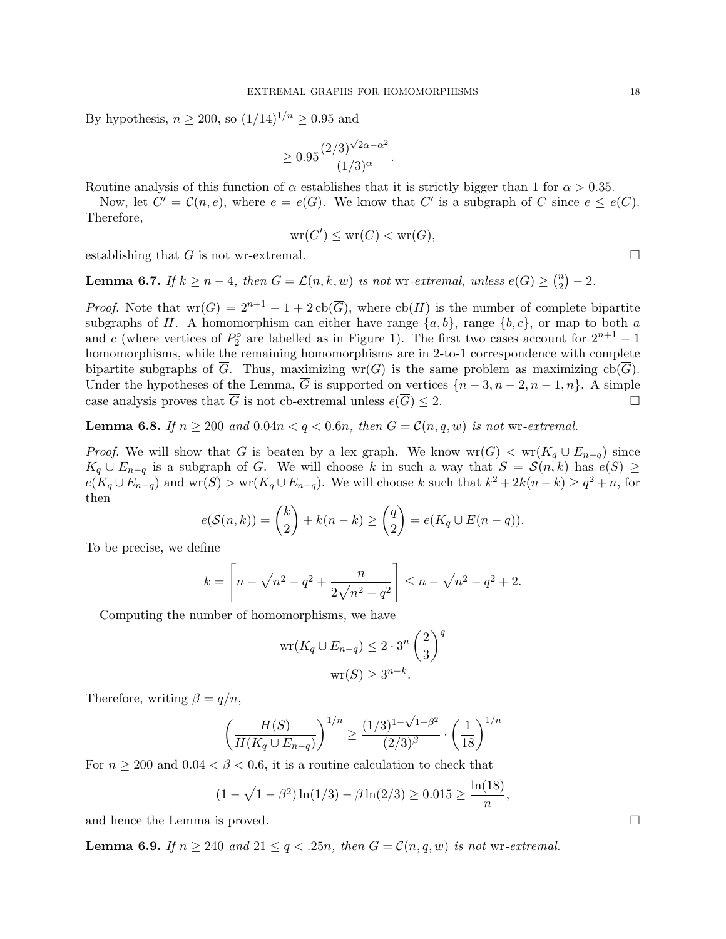By hypothesis,  $n \ge 200$ , so  $(1/14)^{1/n} \ge 0.95$  and

$$
\geq 0.95 \frac{(2/3)^{\sqrt{2\alpha - \alpha^2}}}{(1/3)^{\alpha}}.
$$

Routine analysis of this function of  $\alpha$  establishes that it is strictly bigger than 1 for  $\alpha > 0.35$ .

Now, let  $C' = \mathcal{C}(n, e)$ , where  $e = e(G)$ . We know that C' is a subgraph of C since  $e \leq e(C)$ . Therefore,

$$
\mathrm{wr}(C')\leq \mathrm{wr}(C)<\mathrm{wr}(G),
$$

establishing that G is not wr-extremal.

**Lemma 6.7.** If  $k \geq n-4$ , then  $G = \mathcal{L}(n, k, w)$  is not wr-extremal, unless  $e(G) \geq {n \choose 2}$  $\binom{n}{2} - 2.$ 

*Proof.* Note that  $wr(G) = 2^{n+1} - 1 + 2cb(\overline{G})$ , where  $cb(H)$  is the number of complete bipartite subgraphs of H. A homomorphism can either have range  $\{a, b\}$ , range  $\{b, c\}$ , or map to both a and c (where vertices of  $P_2^{\circ}$  are labelled as in Figure 1). The first two cases account for  $2^{n+1} - 1$ homomorphisms, while the remaining homomorphisms are in 2-to-1 correspondence with complete bipartite subgraphs of  $\overline{G}$ . Thus, maximizing wr(G) is the same problem as maximizing  $cb(\overline{G})$ . Under the hypotheses of the Lemma,  $\overline{G}$  is supported on vertices  $\{n-3, n-2, n-1, n\}$ . A simple case analysis proves that  $\overline{G}$  is not cb-extremal unless  $e(\overline{G}) \leq 2$ .

**Lemma 6.8.** If  $n \ge 200$  and  $0.04n < q < 0.6n$ , then  $G = \mathcal{C}(n, q, w)$  is not wr-extremal.

*Proof.* We will show that G is beaten by a lex graph. We know  $wr(G) < wr(K_q \cup E_{n-q})$  since  $K_q \cup E_{n-q}$  is a subgraph of G. We will choose k in such a way that  $S = \mathcal{S}(n,k)$  has  $e(S) \geq$  $e(K_q \cup E_{n-q})$  and  $\text{wr}(S) > \text{wr}(K_q \cup E_{n-q})$ . We will choose k such that  $k^2 + 2k(n-k) \ge q^2 + n$ , for then

$$
e(S(n,k)) = {k \choose 2} + k(n-k) \ge {q \choose 2} = e(K_q \cup E(n-q)).
$$

To be precise, we define

$$
k = \left\lceil n - \sqrt{n^2 - q^2} + \frac{n}{2\sqrt{n^2 - q^2}} \right\rceil \le n - \sqrt{n^2 - q^2} + 2.
$$

Computing the number of homomorphisms, we have

$$
\operatorname{wr}(K_q \cup E_{n-q}) \le 2 \cdot 3^n \left(\frac{2}{3}\right)^q
$$

$$
\operatorname{wr}(S) \ge 3^{n-k}.
$$

Therefore, writing  $\beta = q/n$ ,

$$
\left(\frac{H(S)}{H(K_q \cup E_{n-q})}\right)^{1/n} \ge \frac{(1/3)^{1-\sqrt{1-\beta^2}}}{(2/3)^{\beta}} \cdot \left(\frac{1}{18}\right)^{1/n}
$$

For  $n \geq 200$  and  $0.04 < \beta < 0.6$ , it is a routine calculation to check that

$$
(1 - \sqrt{1 - \beta^2}) \ln(1/3) - \beta \ln(2/3) \ge 0.015 \ge \frac{\ln(18)}{n},
$$

and hence the Lemma is proved.

**Lemma 6.9.** If  $n \geq 240$  and  $21 \leq q < .25n$ , then  $G = \mathcal{C}(n, q, w)$  is not wr-extremal.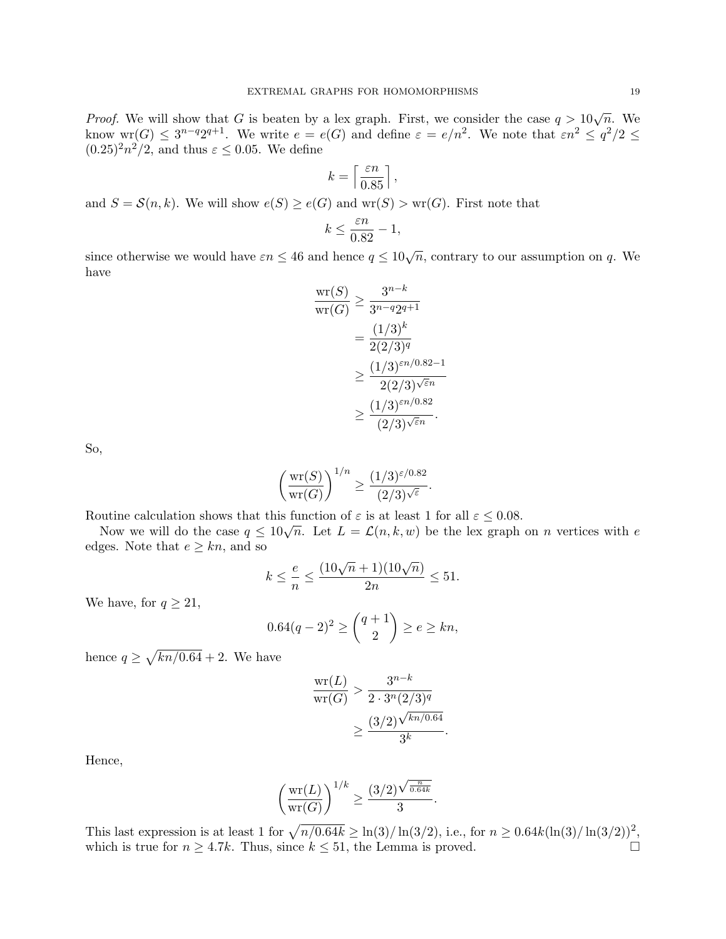*Proof.* We will show that G is beaten by a lex graph. First, we consider the case  $q > 10\sqrt{n}$ . We know  $\text{wr}(G) \leq 3^{n-q}2^{q+1}$ . We write  $e = e(G)$  and define  $\varepsilon = e/n^2$ . We note that  $\varepsilon n^2 \leq q^2/2 \leq$  $(0.25)^2 n^2/2$ , and thus  $\varepsilon \leq 0.05$ . We define

$$
k=\left\lceil \frac{\varepsilon n}{0.85} \right\rceil,
$$

and  $S = \mathcal{S}(n, k)$ . We will show  $e(S) \ge e(G)$  and  $wr(S) > wr(G)$ . First note that

$$
k \le \frac{\varepsilon n}{0.82} - 1,
$$

since otherwise we would have  $\varepsilon n \leq 46$  and hence  $q \leq 10\sqrt{n}$ , contrary to our assumption on q. We have

$$
\frac{\text{wr}(S)}{\text{wr}(G)} \ge \frac{3^{n-k}}{3^{n-q}2^{q+1}}
$$
  
= 
$$
\frac{(1/3)^k}{2(2/3)^q}
$$
  

$$
\ge \frac{(1/3)^{\varepsilon n/0.82 - 1}}{2(2/3)^{\sqrt{\varepsilon}n}}
$$
  

$$
\ge \frac{(1/3)^{\varepsilon n/0.82}}{(2/3)^{\sqrt{\varepsilon}n}}.
$$

So,

$$
\left(\frac{\mathrm{wr}(S)}{\mathrm{wr}(G)}\right)^{1/n} \ge \frac{(1/3)^{\varepsilon/0.82}}{(2/3)^{\sqrt{\varepsilon}}}.
$$

Routine calculation shows that this function of  $\varepsilon$  is at least 1 for all  $\varepsilon \leq 0.08$ .

Now we will do the case  $q \leq 10\sqrt{n}$ . Let  $L = \mathcal{L}(n, k, w)$  be the lex graph on n vertices with e edges. Note that  $e \geq kn$ , and so

$$
k \le \frac{e}{n} \le \frac{(10\sqrt{n} + 1)(10\sqrt{n})}{2n} \le 51.
$$

We have, for  $q \geq 21$ ,

$$
0.64(q - 2)^2 \ge \binom{q + 1}{2} \ge e \ge kn,
$$

hence  $q \ge \sqrt{kn/0.64} + 2$ . We have

$$
\frac{\text{wr}(L)}{\text{wr}(G)} > \frac{3^{n-k}}{2 \cdot 3^n (2/3)^q} \\ > \frac{(3/2) \sqrt{\frac{k n}{0.64}}}{3^k}.
$$

Hence,

$$
\left(\frac{\mathrm{wr}(L)}{\mathrm{wr}(G)}\right)^{1/k} \ge \frac{(3/2)^{\sqrt{\frac{n}{0.64k}}}}{3}.
$$

This last expression is at least 1 for  $\sqrt{n/0.64k} \geq \ln(3)/\ln(3/2)$ , i.e., for  $n \geq 0.64k(\ln(3)/\ln(3/2))^2$ , which is true for  $n \geq 4.7k$ . Thus, since  $k \leq 51$ , the Lemma is proved.